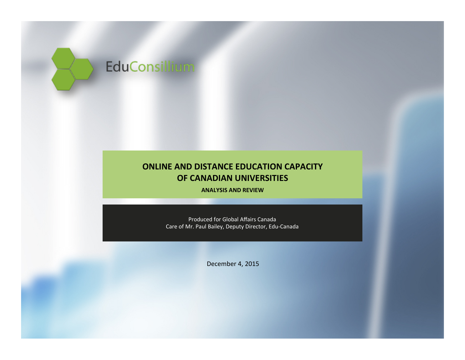# **EduConsillium**

## **OF CANADIAN UNIVERSITIES ONLINE AND DISTANCE EDUCATION CAPACITY**

**ANALYSIS AND REVIEW**

Produced for Global Affairs Canada Care of Mr. Paul Bailey, Deputy Director, Edu-Canada

December 4, 2015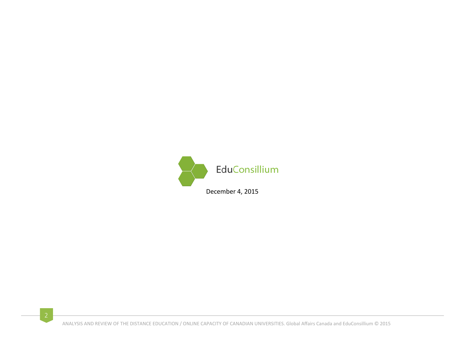



ANALYSIS AND REVIEW OF THE DISTANCE EDUCATION / ONLINE CAPACITY OF CANADIAN UNIVERSITIES. Global Affairs Canada and EduConsillium © 2015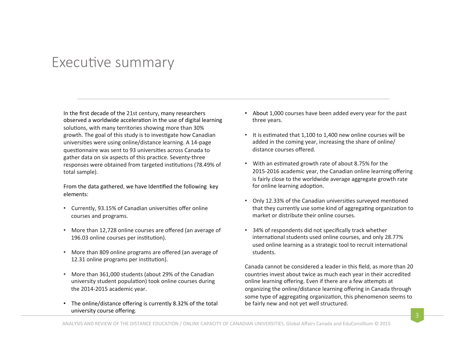# Executive summary

In the first decade of the 21st century, many researchers observed a worldwide acceleration in the use of digital learning solutions, with many territories showing more than 30% growth. The goal of this study is to investigate how Canadian universities were using online/distance learning. A 14-page questionnaire was sent to 93 universities across Canada to gather data on six aspects of this practice. Seventy-three responses were obtained from targeted institutions (78.49% of total sample).

From the data gathered, we have Identified the following key elements: 

- Currently, 93.15% of Canadian universities offer online courses and programs.
- More than 12,728 online courses are offered (an average of 196.03 online courses per institution).
- More than 809 online programs are offered (an average of 12.31 online programs per institution).
- More than 361,000 students (about 29% of the Canadian university student population) took online courses during the 2014-2015 academic year.
- The online/distance offering is currently 8.32% of the total university course offering.
- About 1,000 courses have been added every year for the past three years.
- It is estimated that  $1,100$  to  $1,400$  new online courses will be added in the coming year, increasing the share of online/ distance courses offered.
- With an estimated growth rate of about 8.75% for the 2015-2016 academic year, the Canadian online learning offering is fairly close to the worldwide average aggregate growth rate for online learning adoption.
- Only 12.33% of the Canadian universities surveyed mentioned that they currently use some kind of aggregating organization to market or distribute their online courses.
- 34% of respondents did not specifically track whether international students used online courses, and only 28.77% used online learning as a strategic tool to recruit international students.

Canada cannot be considered a leader in this field, as more than 20 countries invest about twice as much each year in their accredited online learning offering. Even if there are a few attempts at organizing the online/distance learning offering in Canada through some type of aggregating organization, this phenomenon seems to be fairly new and not yet well structured.

ANALYSIS AND REVIEW OF THE DISTANCE EDUCATION / ONLINE CAPACITY OF CANADIAN UNIVERSITIES. Global Affairs Canada and EduConsillium © 2015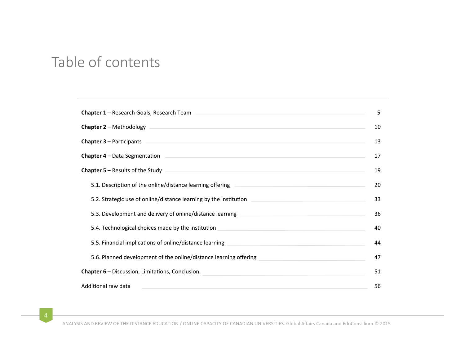# Table of contents

| <b>Chapter 1 – Research Goals, Research Team</b>                                                                                                                                                                               |    |  |  |  |  |  |  |  |  |
|--------------------------------------------------------------------------------------------------------------------------------------------------------------------------------------------------------------------------------|----|--|--|--|--|--|--|--|--|
| Chapter 2 - Methodology experience of the contract of the contract of the contract of the contract of the contract of the contract of the contract of the contract of the contract of the contract of the contract of the cont | 10 |  |  |  |  |  |  |  |  |
| <b>Chapter 3 – Participants</b><br><u> 1989 - Andrea Santa Andrea Santa Andrea Santa Andrea Santa Andrea Santa Andrea Santa Andrea Santa Andrea San</u>                                                                        |    |  |  |  |  |  |  |  |  |
| <b>Chapter 4 – Data Segmentation</b>                                                                                                                                                                                           |    |  |  |  |  |  |  |  |  |
| <b>Chapter 5 – Results of the Study Chapter and Chapter Section 2008 (2009)</b>                                                                                                                                                |    |  |  |  |  |  |  |  |  |
| 5.1. Description of the online/distance learning offering<br>the control of the control of the control of the control of the control of the control of                                                                         | 20 |  |  |  |  |  |  |  |  |
| 5.2. Strategic use of online/distance learning by the institution entitled and contain the strategic use of online/distance learning by the institution                                                                        | 33 |  |  |  |  |  |  |  |  |
| 5.3. Development and delivery of online/distance learning<br>the control of the control of the control of the control of the control of the control of                                                                         | 36 |  |  |  |  |  |  |  |  |
| 5.4. Technological choices made by the institution                                                                                                                                                                             | 40 |  |  |  |  |  |  |  |  |
| 5.5. Financial implications of online/distance learning<br>the control of the control of the control of the control of the control of the control of                                                                           | 44 |  |  |  |  |  |  |  |  |
| 5.6. Planned development of the online/distance learning offering                                                                                                                                                              | 47 |  |  |  |  |  |  |  |  |
| Chapter 6 - Discussion, Limitations, Conclusion                                                                                                                                                                                | 51 |  |  |  |  |  |  |  |  |
| Additional raw data<br>,我们也不会有什么?""我们的人,我们也不会有什么?""我们的人,我们也不会有什么?""我们的人,我们也不会有什么?""我们的人,我们也不会有什么?""我们的人                                                                                                                        |    |  |  |  |  |  |  |  |  |

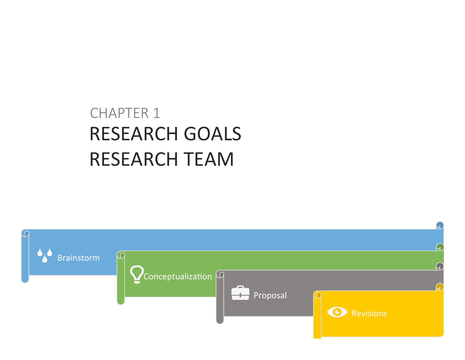# **RESEARCH GOALS RESEARCH TEAM** CHAPTER 1

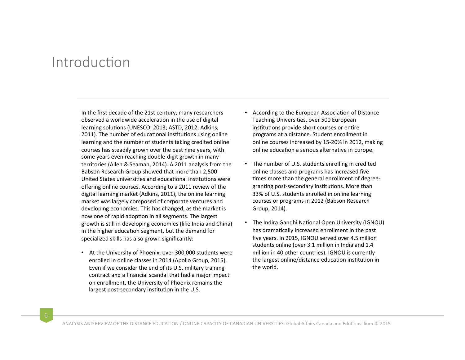# Introduction

In the first decade of the 21st century, many researchers observed a worldwide acceleration in the use of digital learning solutions (UNESCO, 2013; ASTD, 2012; Adkins, 2011). The number of educational institutions using online learning and the number of students taking credited online courses has steadily grown over the past nine years, with some years even reaching double-digit growth in many territories (Allen & Seaman, 2014). A 2011 analysis from the Babson Research Group showed that more than 2,500 United States universities and educational institutions were offering online courses. According to a 2011 review of the digital learning market (Adkins, 2011), the online learning market was largely composed of corporate ventures and developing economies. This has changed, as the market is now one of rapid adoption in all segments. The largest growth is still in developing economies (like India and China) in the higher education segment, but the demand for specialized skills has also grown significantly:

• At the University of Phoenix, over 300,000 students were enrolled in online classes in 2014 (Apollo Group, 2015). Even if we consider the end of its U.S. military training contract and a financial scandal that had a major impact on enrollment, the University of Phoenix remains the largest post-secondary institution in the U.S.

- According to the European Association of Distance Teaching Universities, over 500 European institutions provide short courses or entire programs at a distance. Student enrollment in online courses increased by 15-20% in 2012, making online education a serious alternative in Europe.
- The number of U.S. students enrolling in credited online classes and programs has increased five times more than the general enrollment of degreegranting post-secondary institutions. More than 33% of U.S. students enrolled in online learning courses or programs in 2012 (Babson Research Group, 2014).
- The Indira Gandhi National Open University (IGNOU) has dramatically increased enrollment in the past five years. In 2015, IGNOU served over 4.5 million students online (over 3.1 million in India and 1.4 million in 40 other countries). IGNOU is currently the largest online/distance education institution in the world.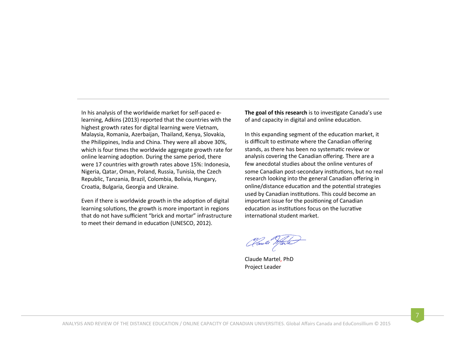In his analysis of the worldwide market for self-paced elearning, Adkins (2013) reported that the countries with the highest growth rates for digital learning were Vietnam, Malaysia, Romania, Azerbaijan, Thailand, Kenya, Slovakia, the Philippines, India and China. They were all above 30%, which is four times the worldwide aggregate growth rate for online learning adoption. During the same period, there were 17 countries with growth rates above 15%: Indonesia, Nigeria, Qatar, Oman, Poland, Russia, Tunisia, the Czech Republic, Tanzania, Brazil, Colombia, Bolivia, Hungary, Croatia, Bulgaria, Georgia and Ukraine.

Even if there is worldwide growth in the adoption of digital learning solutions, the growth is more important in regions that do not have sufficient "brick and mortar" infrastructure to meet their demand in education (UNESCO, 2012).

**The goal of this research** is to investigate Canada's use of and capacity in digital and online education.

In this expanding segment of the education market, it is difficult to estimate where the Canadian offering stands, as there has been no systematic review or analysis covering the Canadian offering. There are a few anecdotal studies about the online ventures of some Canadian post-secondary institutions, but no real research looking into the general Canadian offering in online/distance education and the potential strategies used by Canadian institutions. This could become an important issue for the positioning of Canadian education as institutions focus on the lucrative international student market.

Cloude Marte

Claude Martel, PhD Project Leader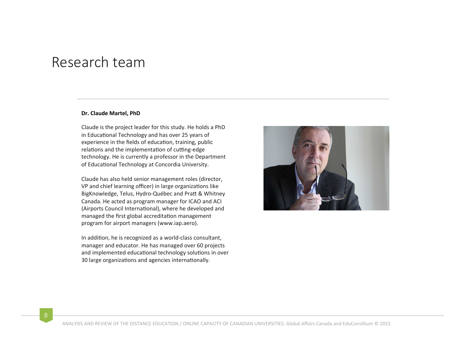## Research team

#### Dr. Claude Martel, PhD

Claude is the project leader for this study. He holds a PhD in Educational Technology and has over 25 years of experience in the fields of education, training, public relations and the implementation of cutting-edge technology. He is currently a professor in the Department of Educational Technology at Concordia University.

Claude has also held senior management roles (director, VP and chief learning officer) in large organizations like BigKnowledge, Telus, Hydro-Québec and Pratt & Whitney Canada. He acted as program manager for ICAO and ACI (Airports Council International), where he developed and managed the first global accreditation management program for airport managers (www.iap.aero).

In addition, he is recognized as a world-class consultant, manager and educator. He has managed over 60 projects and implemented educational technology solutions in over 30 large organizations and agencies internationally.

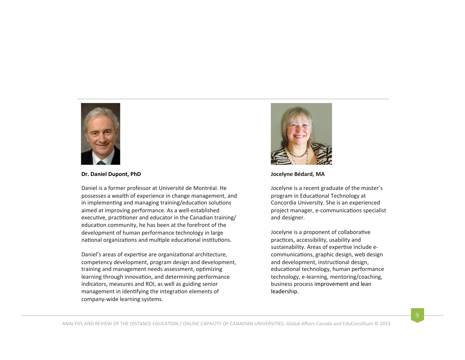

Dr. Daniel Dupont, PhD

Daniel is a former professor at Université de Montréal. He possesses a wealth of experience in change management, and in implementing and managing training/education solutions aimed at improving performance. As a well-established executive, practitioner and educator in the Canadian training/ education community, he has been at the forefront of the development of human performance technology in large national organizations and multiple educational institutions.

Daniel's areas of expertise are organizational architecture, competency development, program design and development, training and management needs assessment, optimizing learning through innovation, and determining performance indicators, measures and ROI, as well as guiding senior management in identifying the integration elements of company-wide learning systems.



Jocelyne Bédard, MA

Jocelyne is a recent graduate of the master's program in Educational Technology at Concordia University. She is an experienced project manager, e-communications specialist and designer.

Jocelyne is a proponent of collaborative practices, accessibility, usability and sustainability. Areas of expertise include ecommunications, graphic design, web design and development, instructional design, educational technology, human performance technology, e-learning, mentoring/coaching, business process improvement and lean leadership.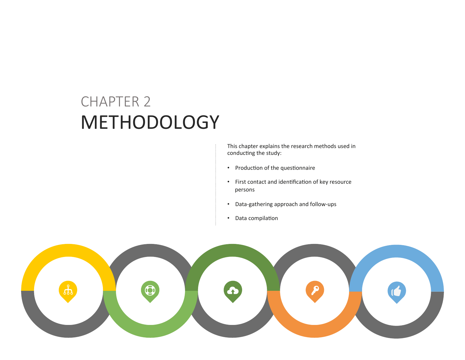# METHODOLOGY CHAPTER 2

This chapter explains the research methods used in conducting the study:

- Production of the questionnaire
- First contact and identification of key resource persons
- Data-gathering approach and follow-ups
- Data compilation

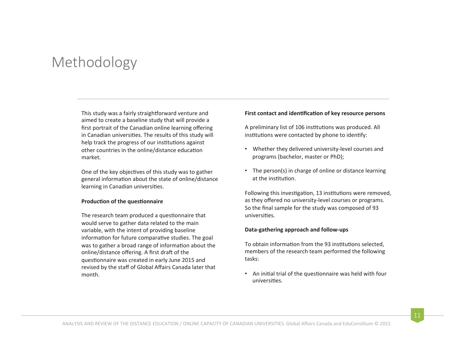# Methodology

This study was a fairly straightforward venture and aimed to create a baseline study that will provide a first portrait of the Canadian online learning offering in Canadian universities. The results of this study will help track the progress of our institutions against other countries in the online/distance education market. 

One of the key objectives of this study was to gather general information about the state of online/distance learning in Canadian universities.

#### **Production of the questionnaire**

The research team produced a questionnaire that would serve to gather data related to the main variable, with the intent of providing baseline information for future comparative studies. The goal was to gather a broad range of information about the online/distance offering. A first draft of the questionnaire was created in early June 2015 and revised by the staff of Global Affairs Canada later that month. 

#### First contact and identification of key resource persons

A preliminary list of 106 institutions was produced. All institutions were contacted by phone to identify:

- Whether they delivered university-level courses and programs (bachelor, master or PhD);
- The person(s) in charge of online or distance learning at the institution.

Following this investigation, 13 institutions were removed, as they offered no university-level courses or programs. So the final sample for the study was composed of 93 universities.

#### **Data-gathering approach and follow-ups**

To obtain information from the 93 institutions selected. members of the research team performed the following tasks: 

• An initial trial of the questionnaire was held with four universities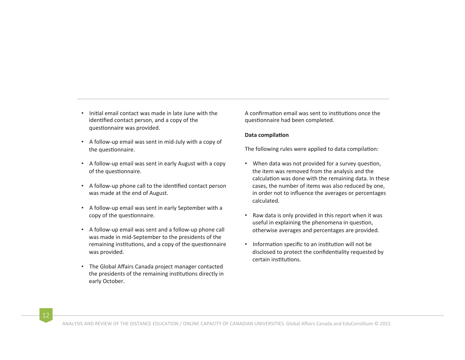- Initial email contact was made in late June with the identified contact person, and a copy of the questionnaire was provided.
- A follow-up email was sent in mid-July with a copy of the questionnaire.
- A follow-up email was sent in early August with a copy of the questionnaire.
- A follow-up phone call to the identified contact person was made at the end of August.
- A follow-up email was sent in early September with a copy of the questionnaire.
- A follow-up email was sent and a follow-up phone call was made in mid-September to the presidents of the remaining institutions, and a copy of the questionnaire was provided.
- The Global Affairs Canada project manager contacted the presidents of the remaining institutions directly in early October.

A confirmation email was sent to institutions once the questionnaire had been completed.

#### **Data compilation**

The following rules were applied to data compilation:

- When data was not provided for a survey question, the item was removed from the analysis and the calculation was done with the remaining data. In these cases, the number of items was also reduced by one, in order not to influence the averages or percentages calculated.
- Raw data is only provided in this report when it was useful in explaining the phenomena in question, otherwise averages and percentages are provided.
- Information specific to an institution will not be disclosed to protect the confidentiality requested by certain institutions.



ANALYSIS AND REVIEW OF THE DISTANCE EDUCATION / ONLINE CAPACITY OF CANADIAN UNIVERSITIES. Global Affairs Canada and EduConsillium © 2015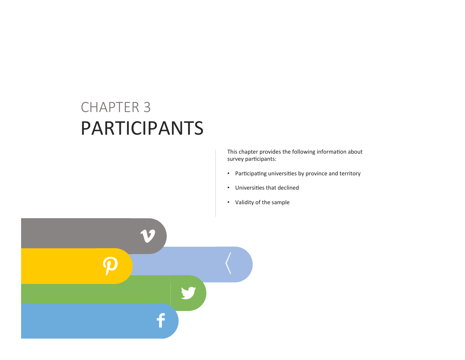# PARTICIPANTS CHAPTER 3

This chapter provides the following information about survey participants:

- Participating universities by province and territory
- Universities that declined
- Validity of the sample

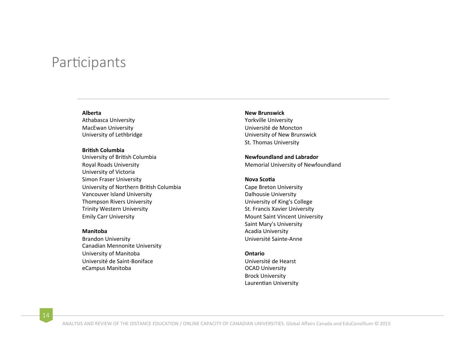## Participants

#### **Alberta**

Athabasca University MacEwan University University of Lethbridge 

#### **British Columbia**

University of British Columbia Royal Roads University University of Victoria Simon Fraser University University of Northern British Columbia Vancouver Island University Thompson Rivers University Trinity Western University Emily Carr University 

#### **Manitoba**

Brandon University Canadian Mennonite University University of Manitoba Université de Saint-Boniface eCampus Manitoba 

#### **New Brunswick**

Yorkville University Université de Moncton University of New Brunswick St. Thomas University

**Newfoundland and Labrador**  Memorial University of Newfoundland

## **Nova Scotia**

Cape Breton University Dalhousie University University of King's College St. Francis Xavier University Mount Saint Vincent University Saint Mary's University Acadia University Université Sainte-Anne 

#### **Ontario**

Université de Hearst **OCAD University** Brock University Laurentian University

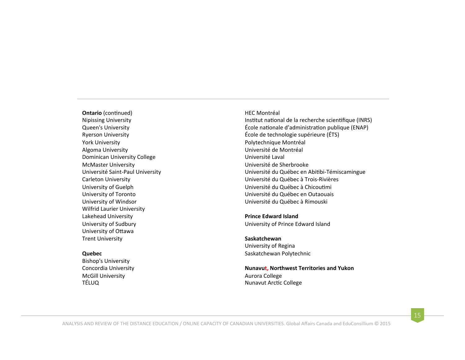**Ontario** (continued) Nipissing University Queen's University Ryerson University York University Algoma University Dominican University College **McMaster University** Université Saint-Paul University Carleton University University of Guelph University of Toronto University of Windsor Wilfrid Laurier University Lakehead University University of Sudbury University of Ottawa **Trent University** 

#### **Quebec**

**Bishop's University** Concordia University McGill University TÉLUQ 

HEC Montréal 

Institut national de la recherche scientifique (INRS) École nationale d'administration publique (ENAP) École de technologie supérieure (ÉTS) Polytechnique Montréal Université de Montréal Université Laval Université de Sherbrooke Université du Québec en Abitibi-Témiscamingue Université du Québec à Trois-Rivières Université du Québec à Chicoutimi Université du Québec en Outaouais Université du Québec à Rimouski 

#### **Prince Edward Island** University of Prince Edward Island

**Saskatchewan**  University of Regina 

Saskatchewan Polytechnic

**Nunavut, Northwest Territories and Yukon** Aurora College 

Nunavut Arctic College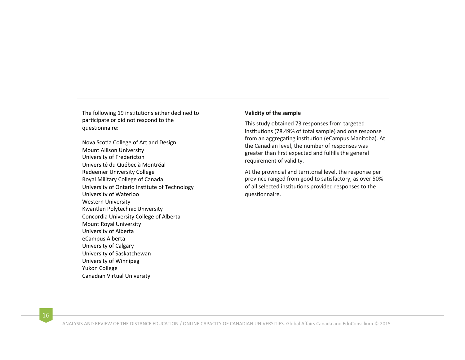The following 19 institutions either declined to participate or did not respond to the questionnaire:

Nova Scotia College of Art and Design Mount Allison University University of Fredericton Université du Québec à Montréal Redeemer University College Royal Military College of Canada University of Ontario Institute of Technology University of Waterloo Western University Kwantlen Polytechnic University Concordia University College of Alberta Mount Royal University University of Alberta eCampus Alberta University of Calgary University of Saskatchewan University of Winnipeg Yukon College Canadian Virtual University

## **Validity of the sample**

This study obtained 73 responses from targeted institutions (78.49% of total sample) and one response from an aggregating institution (eCampus Manitoba). At the Canadian level, the number of responses was greater than first expected and fulfills the general requirement of validity.

At the provincial and territorial level, the response per province ranged from good to satisfactory, as over 50% of all selected institutions provided responses to the questionnaire.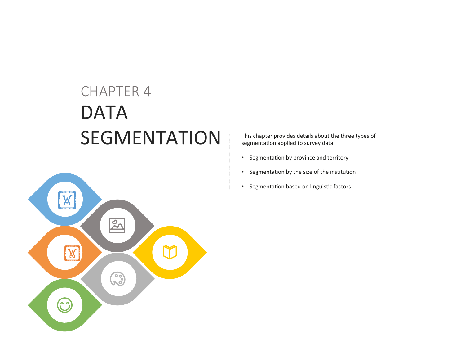# **DATA SEGMENTATION** CHAPTER 4



This chapter provides details about the three types of segmentation applied to survey data:

- Segmentation by province and territory
- Segmentation by the size of the institution
- Segmentation based on linguistic factors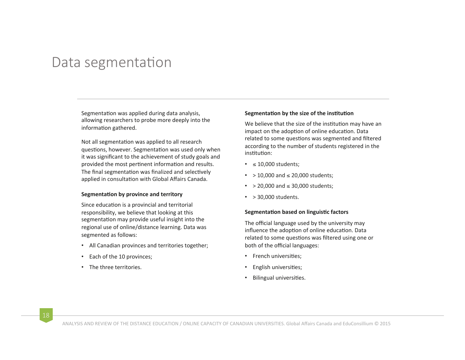## Data segmentation

Segmentation was applied during data analysis, allowing researchers to probe more deeply into the information gathered.

Not all segmentation was applied to all research questions, however. Segmentation was used only when it was significant to the achievement of study goals and provided the most pertinent information and results. The final segmentation was finalized and selectively applied in consultation with Global Affairs Canada.

#### **Segmentation by province and territory**

Since education is a provincial and territorial responsibility, we believe that looking at this segmentation may provide useful insight into the regional use of online/distance learning. Data was segmented as follows:

- All Canadian provinces and territories together;
- Each of the 10 provinces;
- The three territories.

#### **Segmentation by the size of the institution**

We believe that the size of the institution may have an impact on the adoption of online education. Data related to some questions was segmented and filtered according to the number of students registered in the institution:

- $\cdot$   $\leq$  10,000 students;
- > 10,000 and  $\leq$  20,000 students;
- $>$  20,000 and  $\leq$  30,000 students;
- $\cdot$  > 30.000 students.

#### **Segmentation based on linguistic factors**

The official language used by the university may influence the adoption of online education. Data related to some questions was filtered using one or both of the official languages:

- French universities;
- English universities;
- Bilingual universities.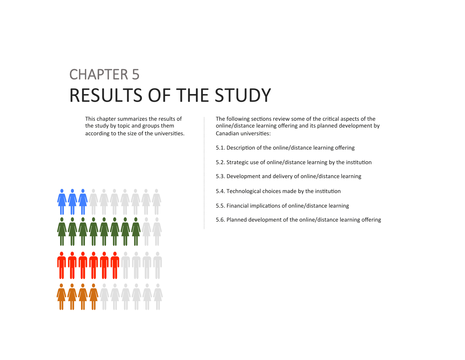# RESULTS OF THE STUDY CHAPTER 5

This chapter summarizes the results of the study by topic and groups them according to the size of the universities.



The following sections review some of the critical aspects of the online/distance learning offering and its planned development by Canadian universities:

5.1. Description of the online/distance learning offering

5.2. Strategic use of online/distance learning by the institution

5.3. Development and delivery of online/distance learning

5.4. Technological choices made by the institution

5.5. Financial implications of online/distance learning

5.6. Planned development of the online/distance learning offering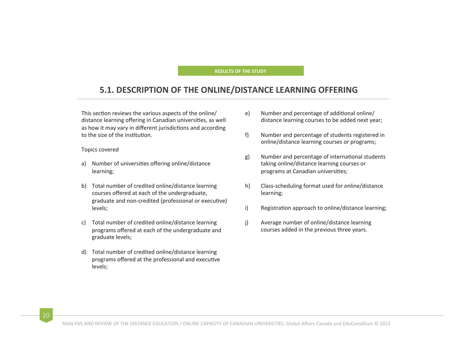#### **RESULTS OF THE STUDY**

## **5.1. DESCRIPTION OF THE ONLINE/DISTANCE LEARNING OFFERING**

This section reviews the various aspects of the online/ distance learning offering in Canadian universities, as well as how it may vary in different jurisdictions and according to the size of the institution.

#### Topics covered

- a) Number of universities offering online/distance learning;
- b) Total number of credited online/distance learning courses offered at each of the undergraduate, graduate and non-credited (professional or executive) levels;
- c) Total number of credited online/distance learning programs offered at each of the undergraduate and graduate levels;
- d) Total number of credited online/distance learning programs offered at the professional and executive levels;
- e) Number and percentage of additional online/ distance learning courses to be added next year;
- f) Number and percentage of students registered in online/distance learning courses or programs;
- g) Number and percentage of international students taking online/distance learning courses or programs at Canadian universities;
- h) Class-scheduling format used for online/distance learning;
- i) Registration approach to online/distance learning;
- j) Average number of online/distance learning courses added in the previous three years.

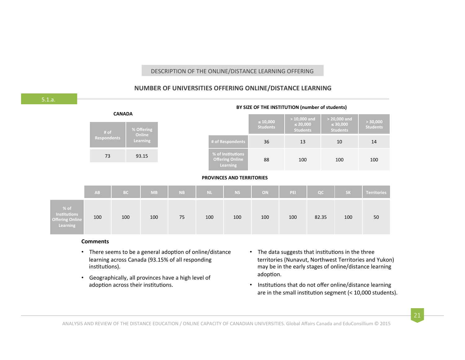## **NUMBER OF UNIVERSITIES OFFERING ONLINE/DISTANCE LEARNING**



#### **Comments**

- There seems to be a general adoption of online/distance learning across Canada (93.15% of all responding institutions).
- Geographically, all provinces have a high level of adoption across their institutions.
- The data suggests that institutions in the three territories (Nunavut, Northwest Territories and Yukon) may be in the early stages of online/distance learning adoption.
- Institutions that do not offer online/distance learning are in the small institution segment  $($  < 10,000 students).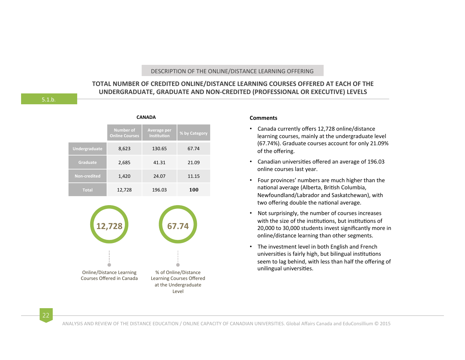## **TOTAL NUMBER OF CREDITED ONLINE/DISTANCE LEARNING COURSES OFFERED AT EACH OF THE UNDERGRADUATE, GRADUATE AND NON-CREDITED (PROFESSIONAL OR EXECUTIVE) LEVELS**

|                 | <b>Number of</b><br><b>Online Courses</b> | Average per<br>Institution | % by Category |
|-----------------|-------------------------------------------|----------------------------|---------------|
| Undergraduate   | 8,623                                     | 130.65                     | 67.74         |
| <b>Graduate</b> | 2,685                                     | 41.31                      | 21.09         |
| Non-credited    | 1,420                                     | 24.07                      | 11.15         |
| <b>Total</b>    | 12,728                                    | 196.03                     | 100           |
|                 |                                           |                            |               |
|                 |                                           |                            |               |

**CANADA**

## **12,728** Online/Distance Learning Courses Offered in Canada **67.74** % of Online/Distance Learning Courses Offered at the Undergraduate Level

#### **Comments**

- Canada currently offers 12,728 online/distance learning courses, mainly at the undergraduate level (67.74%). Graduate courses account for only 21.09% of the offering.
- Canadian universities offered an average of 196.03 online courses last year.
- Four provinces' numbers are much higher than the national average (Alberta, British Columbia, Newfoundland/Labrador and Saskatchewan), with two offering double the national average.
- Not surprisingly, the number of courses increases with the size of the institutions, but institutions of 20,000 to 30,000 students invest significantly more in online/distance learning than other segments.
- The investment level in both English and French universities is fairly high, but bilingual institutions seem to lag behind, with less than half the offering of unilingual universities.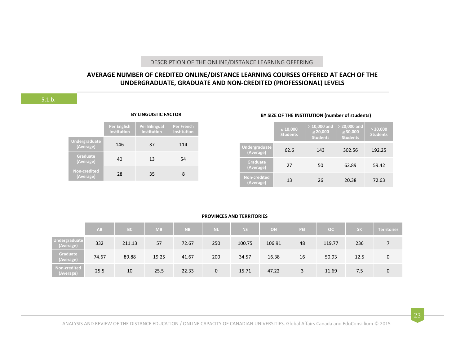## AVERAGE NUMBER OF CREDITED ONLINE/DISTANCE LEARNING COURSES OFFERED AT EACH OF THE **UNDERGRADUATE, GRADUATE AND NON-CREDITED (PROFESSIONAL) LEVELS**

|                            | <b>Per English</b><br>Institution | <b>Per Bilingual</b><br>Institution | <b>Per French</b><br>Institution |
|----------------------------|-----------------------------------|-------------------------------------|----------------------------------|
| Undergraduate<br>(Average) | 146                               | 37                                  | 114                              |
| Graduate<br>(Average)      | 40                                | 13                                  | 54                               |
| Non-credited<br>(Average)  | 28                                | 35                                  | 8                                |

**BY LINGUISTIC FACTOR**

#### **BY SIZE OF THE INSTITUTION (number of students)**

|                            | $\leq 10,000$<br><b>Students</b> | $> 10,000$ and<br>$\leq 20,000$<br><b>Students</b> | $> 20,000$ and<br>$\leq 30,000$<br><b>Students</b> | > 30,000<br><b>Students</b> |
|----------------------------|----------------------------------|----------------------------------------------------|----------------------------------------------------|-----------------------------|
| Undergraduate<br>(Average) | 62.6                             | 143                                                | 302.56                                             | 192.25                      |
| Graduate<br>(Average)      | 27                               | 50                                                 | 62.89                                              | 59.42                       |
| Non-credited<br>(Average)  | 13                               | 26                                                 | 20.38                                              | 72.63                       |

23

#### **PROVINCES AND TERRITORIES**

|                            | AB    | <b>BC</b> | <b>MB</b> | N <sub>B</sub> | <b>NL</b>    | <b>NS</b> | ON     | PEI | OC     | <b>SK</b> | <b>Territories</b> |
|----------------------------|-------|-----------|-----------|----------------|--------------|-----------|--------|-----|--------|-----------|--------------------|
| Undergraduate<br>(Average) | 332   | 211.13    | 57        | 72.67          | 250          | 100.75    | 106.91 | 48  | 119.77 | 236       |                    |
| Graduate<br>(Average)      | 74.67 | 89.88     | 19.25     | 41.67          | 200          | 34.57     | 16.38  | 16  | 50.93  | 12.5      |                    |
| Non-credited<br>(Average)  | 25.5  | 10        | 25.5      | 22.33          | $\mathbf{0}$ | 15.71     | 47.22  | 3   | 11.69  | 7.5       |                    |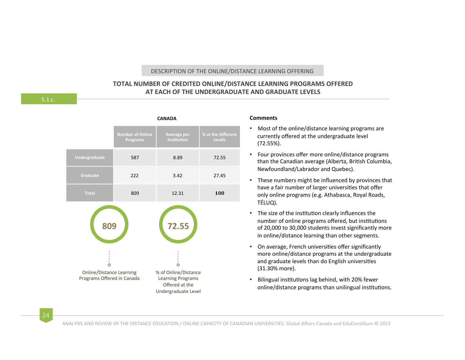## **TOTAL NUMBER OF CREDITED ONLINE/DISTANCE LEARNING PROGRAMS OFFERED AT EACH OF THE UNDERGRADUATE AND GRADUATE LEVELS**

|                                                               |                                            | <b>CANADA</b>                                                                      |                            |  |  |
|---------------------------------------------------------------|--------------------------------------------|------------------------------------------------------------------------------------|----------------------------|--|--|
|                                                               | <b>Number of Online</b><br><b>Programs</b> | <b>Average per</b><br>Institution                                                  | % at the Differe<br>Levels |  |  |
| Undergraduate                                                 | 587                                        | 8.89                                                                               | 72.55                      |  |  |
| Graduate                                                      | 222                                        | 3.42                                                                               | 27.45                      |  |  |
| <b>Total</b>                                                  | 809                                        | 12.31                                                                              | 100                        |  |  |
| 809                                                           |                                            | 72.55                                                                              |                            |  |  |
|                                                               |                                            |                                                                                    |                            |  |  |
| <b>Online/Distance Learning</b><br>Programs Offered in Canada |                                            | % of Online/Distance<br>Learning Programs<br>Offered at the<br>Undergraduate Level |                            |  |  |

#### **Comments**

- Most of the online/distance learning programs are currently offered at the undergraduate level (72.55%).
- Four provinces offer more online/distance programs than the Canadian average (Alberta, British Columbia, Newfoundland/Labrador and Quebec).
- These numbers might be influenced by provinces that have a fair number of larger universities that offer only online programs (e.g. Athabasca, Royal Roads, TÉLUQ).
- The size of the institution clearly influences the number of online programs offered, but institutions of 20,000 to 30,000 students invest significantly more in online/distance learning than other segments.
- On average, French universities offer significantly more online/distance programs at the undergraduate and graduate levels than do English universities (31.30% more).
- Bilingual institutions lag behind, with 20% fewer online/distance programs than unilingual institutions.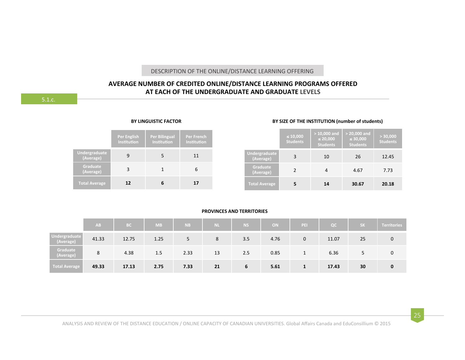## **AVERAGE NUMBER OF CREDITED ONLINE/DISTANCE LEARNING PROGRAMS OFFERED AT EACH OF THE UNDERGRADUATE AND GRADUATE LEVELS**

|                            | Per English<br>Institution | Per Bilingual<br>Institution | <b>Per French</b><br>Institution |
|----------------------------|----------------------------|------------------------------|----------------------------------|
| Undergraduate<br>(Average) |                            | 5                            | 11                               |
| Graduate<br>(Average)      | 3                          |                              | 6                                |
| <b>Total Average</b>       | 12                         |                              | 17                               |

#### **BY LINGUISTIC FACTOR**

#### **BY SIZE OF THE INSTITUTION (number of students)**

|                            | $\leq 10,000$<br><b>Students</b> | $> 10,000$ and<br>$\leq 20,000$<br><b>Students</b> | $> 20,000$ and<br>$\leq 30,000$<br><b>Students</b> | > 30,000<br><b>Students</b> |
|----------------------------|----------------------------------|----------------------------------------------------|----------------------------------------------------|-----------------------------|
| Undergraduate<br>(Average) | 3                                | 10                                                 | 26                                                 | 12.45                       |
| Graduate<br>(Average)      | っ                                | 4                                                  | 4.67                                               | 7.73                        |
| <b>Total Average</b>       | 5                                | 14                                                 | 30.67                                              | 20.18                       |

25

#### **PROVINCES AND TERRITORIES**

|                            | AB    | <b>IBC</b> | <b>MB</b> | <b>NB</b> | <b>NL</b> | NS. | ON   | PEI         | OC    | <b>SK</b> | <b>Territories</b> |
|----------------------------|-------|------------|-----------|-----------|-----------|-----|------|-------------|-------|-----------|--------------------|
| Undergraduate<br>(Average) | 41.33 | 12.75      | 1.25      | 5         | 8         | 3.5 | 4.76 | $\mathbf 0$ | 11.07 | 25        |                    |
| Graduate<br>(Average)      | 8     | 4.38       | 1.5       | 2.33      | 13        | 2.5 | 0.85 |             | 6.36  |           |                    |
| Total Average              | 49.33 | 17.13      | 2.75      | 7.33      | 21        | 6   | 5.61 | 1           | 17.43 | 30        | $\mathbf{0}$       |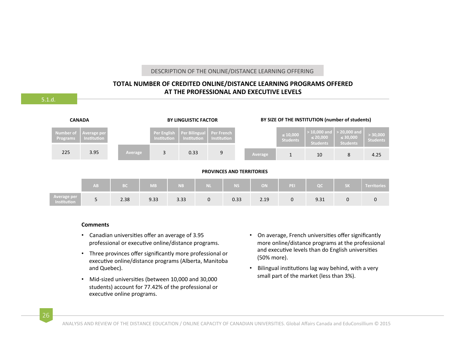## **TOTAL NUMBER OF CREDITED ONLINE/DISTANCE LEARNING PROGRAMS OFFERED AT THE PROFESSIONAL AND EXECUTIVE LEVELS**

#### **AB BC MB NB NL NS ON PEI QC SK Territories Average per**  Perige Peri 5 2.38 9.33 3.33 0 0.33 2.19 0 9.31 0 0<br>Institution 5 2.38 9.33 3.33 0 0.33 2.19 0 9.31 0 0 ≤ **10,000 Students > 10,000 and**  ≤ **20,000 Students 20,000** and ≤ **30,000 Students > 30,000 Students** Average 1 1 10 8 4.25 **Number** of **Programs Average per Institution** 225 3.95 **CANADA BY LINGUISTIC FACTOR Per English Institution Per Bilingua Institution Per French Institution Average** 3 0.33 9 **PROVINCES AND TERRITORIES BY SIZE OF THE INSTITUTION (number of students)**

#### **Comments**

- Canadian universities offer an average of 3.95 professional or executive online/distance programs.
- Three provinces offer significantly more professional or executive online/distance programs (Alberta, Manitoba and Quebec).
- Mid-sized universities (between 10,000 and 30,000 students) account for 77.42% of the professional or executive online programs.
- On average, French universities offer significantly more online/distance programs at the professional and executive levels than do English universities (50% more).
- $\cdot$  Bilingual institutions lag way behind, with a very small part of the market (less than 3%).

26

ANALYSIS AND REVIEW OF THE DISTANCE EDUCATION / ONLINE CAPACITY OF CANADIAN UNIVERSITIES. Global Affairs Canada and EduConsillium © 2015

5.1.d.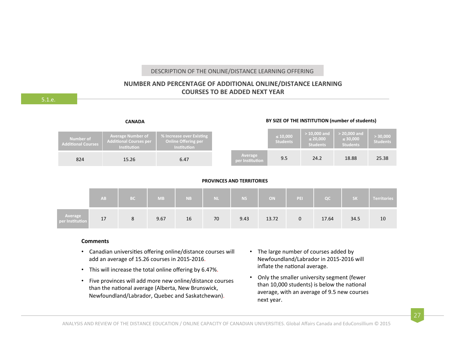## **NUMBER AND PERCENTAGE OF ADDITIONAL ONLINE/DISTANCE LEARNING COURSES TO BE ADDED NEXT YEAR**

|                                        | <b>CANADA</b>                                                     |                                                                              |                            |                                  |                                                   | BY SIZE OF THE INSTITUTION (number of students)    |                             |
|----------------------------------------|-------------------------------------------------------------------|------------------------------------------------------------------------------|----------------------------|----------------------------------|---------------------------------------------------|----------------------------------------------------|-----------------------------|
| Number of<br><b>Additional Courses</b> | Average Number of<br>Additional Courses per<br><b>Institution</b> | % Increase over Existing<br><b>Online Offering per</b><br><b>Institution</b> |                            | $\leq 10,000$<br><b>Students</b> | $>10,000$ and<br>$\leq 20,000$<br><b>Students</b> | $> 20,000$ and<br>$\leq 30,000$<br><b>Students</b> | > 30,000<br><b>Students</b> |
| 824                                    | 15.26                                                             | 6.47                                                                         | Average<br>per Institution | 9.5                              | 24.2                                              | 18.88                                              | 25.38                       |

#### **PROVINCES AND TERRITORIES**

|                            | AB | <b>BC</b> | <b>MB</b> | N <sub>B</sub> | <b>NL</b> | NS.  | ON    | PEI. | OC    | <b>SK</b> | <b>Territories</b> |
|----------------------------|----|-----------|-----------|----------------|-----------|------|-------|------|-------|-----------|--------------------|
| Average<br>per Institution | 17 | Ō         | 9.67      | 16             | 70        | 9.43 | 13.72 | 0    | 17.64 | 34.5      | 10                 |

#### **Comments**

- Canadian universities offering online/distance courses will add an average of 15.26 courses in 2015-2016.
- This will increase the total online offering by 6.47%.
- Five provinces will add more new online/distance courses than the national average (Alberta, New Brunswick, Newfoundland/Labrador, Quebec and Saskatchewan).
- The large number of courses added by Newfoundland/Labrador in 2015-2016 will inflate the national average.
- Only the smaller university segment (fewer than 10,000 students) is below the national average, with an average of 9.5 new courses next year.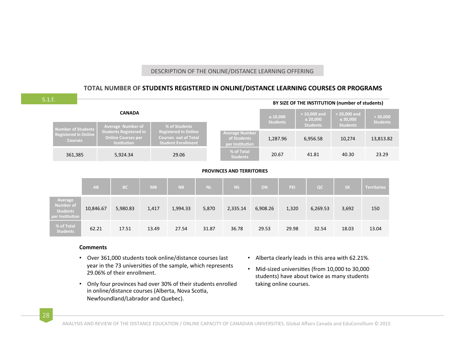## TOTAL NUMBER OF STUDENTS REGISTERED IN ONLINE/DISTANCE LEARNING COURSES OR PROGRAMS

| 5.1.f.                                                            |                                                                            |          |                                                                                                |           |                                                                                         |           |           |                                                         |          |                                  | BY SIZE OF THE INSTITUTION (number of students)    |                                                    |                             |  |
|-------------------------------------------------------------------|----------------------------------------------------------------------------|----------|------------------------------------------------------------------------------------------------|-----------|-----------------------------------------------------------------------------------------|-----------|-----------|---------------------------------------------------------|----------|----------------------------------|----------------------------------------------------|----------------------------------------------------|-----------------------------|--|
|                                                                   | <b>CANADA</b><br>% of Students                                             |          |                                                                                                |           |                                                                                         |           |           |                                                         |          | $\leq 10,000$<br><b>Students</b> | $> 10,000$ and<br>$\leq 20,000$<br><b>Students</b> | $> 20,000$ and<br>$\leq 30,000$<br><b>Students</b> | > 30,000<br><b>Students</b> |  |
|                                                                   | <b>Number of Students</b><br><b>Registered in Online</b><br><b>Courses</b> |          | Average Number of<br><b>Students Registered in</b><br><b>Online Courses per</b><br>Institution |           | <b>Registered in Online</b><br><b>Courses out of Total</b><br><b>Student Enrollment</b> |           |           | <b>Average Number</b><br>of Students<br>per Institution |          | 1,287.96                         | 6,956.58                                           | 10,274                                             | 13,813.82                   |  |
|                                                                   | 361,385                                                                    | 5,924.34 |                                                                                                |           | 29.06                                                                                   |           |           | % of Total<br><b>Students</b>                           |          | 20.67                            | 41.81                                              | 40.30                                              | 23.29                       |  |
|                                                                   | <b>PROVINCES AND TERRITORIES</b>                                           |          |                                                                                                |           |                                                                                         |           |           |                                                         |          |                                  |                                                    |                                                    |                             |  |
|                                                                   | AB                                                                         |          | <b>BC</b>                                                                                      | <b>MB</b> |                                                                                         | <b>NB</b> | <b>NL</b> | <b>NS</b>                                               | ON       | PEI                              | OC                                                 | <b>SK</b>                                          | <b>Territories</b>          |  |
| Average<br><b>Number of</b><br><b>Students</b><br>per Institution | 10,846.67                                                                  |          | 5,980.83                                                                                       | 1,417     |                                                                                         | 1,994.33  | 5,870     | 2,335.14                                                | 6,908.26 | 1,320                            | 6,269.53                                           | 3,692                                              | 150                         |  |
| % of Total<br><b>Students</b>                                     | 62.21                                                                      |          | 17.51                                                                                          | 13.49     |                                                                                         | 27.54     | 31.87     | 36.78                                                   | 29.53    | 29.98                            | 32.54                                              | 18.03                                              | 13.04                       |  |

#### **Comments**

- Over 361,000 students took online/distance courses last year in the 73 universities of the sample, which represents 29.06% of their enrollment.
- Only four provinces had over 30% of their students enrolled in online/distance courses (Alberta, Nova Scotia, Newfoundland/Labrador and Quebec).
- Alberta clearly leads in this area with 62.21%.
- Mid-sized universities (from 10,000 to 30,000 students) have about twice as many students taking online courses.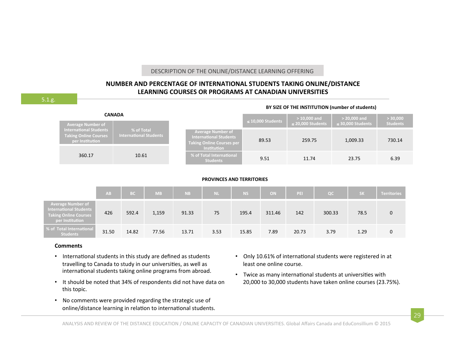## **NUMBER AND PERCENTAGE OF INTERNATIONAL STUDENTS TAKING ONLINE/DISTANCE** LEARNING COURSES OR PROGRAMS AT CANADIAN UNIVERSITIES

5.1.g.

#### <sup>≤</sup> **10,000 Students > 10,000 and**  ≤ **20,000 Students > 20,000 and**  ≤ **30,000 Students > 30,000 Average Number of International Students Taking Online Courses per Institution** 89.53 259.75 1,009.33 730.14 **% of Total International<br>Students Students** 9.51 11.74 23.75 6.39 **CANADA International Students Taking Online Courses** per Institution **% of Total International Students** 360.17 10.61

## **PROVINCES AND TERRITORIES**

|                                                                                                       | AB    | <b>BC</b> | <b>NB</b> | <b>NB</b> | <b>NL</b> | <b>NS</b> | ON.    | PEI   | QC     | / sk | <b>Territories</b> |
|-------------------------------------------------------------------------------------------------------|-------|-----------|-----------|-----------|-----------|-----------|--------|-------|--------|------|--------------------|
| Average Number of<br><b>International Students</b><br><b>Taking Online Courses</b><br>per Institution | 426   | 592.4     | 1,159     | 91.33     | 75        | 195.4     | 311.46 | 142   | 300.33 | 78.5 | $\mathbf 0$        |
| % of Total International<br><b>Students</b>                                                           | 31.50 | 14.82     | 77.56     | 13.71     | 3.53      | 15.85     | 7.89   | 20.73 | 3.79   | 1.29 | 0                  |

#### **Comments**

- International students in this study are defined as students travelling to Canada to study in our universities, as well as international students taking online programs from abroad.
- It should be noted that 34% of respondents did not have data on this topic.
- No comments were provided regarding the strategic use of online/distance learning in relation to international students.
- Only 10.61% of international students were registered in at least one online course.

**BY SIZE OF THE INSTITUTION (number of students)** 

• Twice as many international students at universities with 20,000 to 30,000 students have taken online courses (23.75%).

ANALYSIS AND REVIEW OF THE DISTANCE EDUCATION / ONLINE CAPACITY OF CANADIAN UNIVERSITIES. Global Affairs Canada and EduConsillium © 2015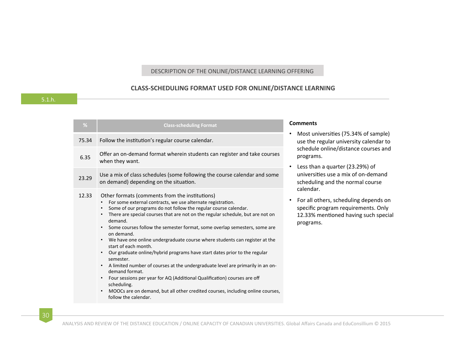## **CLASS-SCHEDULING FORMAT USED FOR ONLINE/DISTANCE LEARNING**

| %     | <b>Class-scheduling Format</b>                                                                                                                                                                                                                                                                                                                                                                                                                                                                                                                                                                                                                                                                                                                                                                                                                                                                                                                     | <b>Comments</b>                                                                                               |
|-------|----------------------------------------------------------------------------------------------------------------------------------------------------------------------------------------------------------------------------------------------------------------------------------------------------------------------------------------------------------------------------------------------------------------------------------------------------------------------------------------------------------------------------------------------------------------------------------------------------------------------------------------------------------------------------------------------------------------------------------------------------------------------------------------------------------------------------------------------------------------------------------------------------------------------------------------------------|---------------------------------------------------------------------------------------------------------------|
| 75.34 | Follow the institution's regular course calendar.                                                                                                                                                                                                                                                                                                                                                                                                                                                                                                                                                                                                                                                                                                                                                                                                                                                                                                  | Most universities (75.<br>٠<br>use the regular univer                                                         |
| 6.35  | Offer an on-demand format wherein students can register and take courses<br>when they want.                                                                                                                                                                                                                                                                                                                                                                                                                                                                                                                                                                                                                                                                                                                                                                                                                                                        | schedule online/dista<br>programs.                                                                            |
| 23.29 | Use a mix of class schedules (some following the course calendar and some<br>on demand) depending on the situation.                                                                                                                                                                                                                                                                                                                                                                                                                                                                                                                                                                                                                                                                                                                                                                                                                                | Less than a quarter (2<br>universities use a mix<br>scheduling and the no                                     |
| 12.33 | Other formats (comments from the institutions)<br>For some external contracts, we use alternate registration.<br>$\bullet$<br>Some of our programs do not follow the regular course calendar.<br>There are special courses that are not on the regular schedule, but are not on<br>$\bullet$<br>demand.<br>Some courses follow the semester format, some overlap semesters, some are<br>on demand.<br>We have one online undergraduate course where students can register at the<br>start of each month.<br>Our graduate online/hybrid programs have start dates prior to the regular<br>$\bullet$<br>semester.<br>A limited number of courses at the undergraduate level are primarily in an on-<br>$\bullet$<br>demand format.<br>Four sessions per year for AQ (Additional Qualification) courses are off<br>$\bullet$<br>scheduling.<br>MOOCs are on demand, but all other credited courses, including online courses,<br>follow the calendar. | calendar.<br>For all others, schedu<br>$\bullet$<br>specific program requ<br>12.33% mentioned ha<br>programs. |

- .34% of sample) rsity calendar to nce courses and
- 23.29%) of of on-demand ormal course
- lling depends on uirements. Only **iving** such special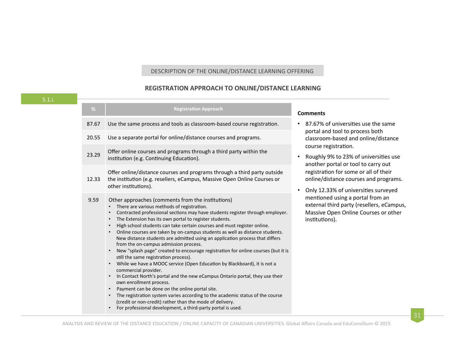## **REGISTRATION APPROACH TO ONLINE/DISTANCE LEARNING**

| %     | <b>Registration Approach</b>                                                                                                                                                                                                                                                                                                                                                                                                                                                                                                                                                                                                                                                                                                                                                                                                                                                                                                                                                                                                                                                                                                                                                                                                                      | <b>Comments</b>                                                                                                                                                                 |
|-------|---------------------------------------------------------------------------------------------------------------------------------------------------------------------------------------------------------------------------------------------------------------------------------------------------------------------------------------------------------------------------------------------------------------------------------------------------------------------------------------------------------------------------------------------------------------------------------------------------------------------------------------------------------------------------------------------------------------------------------------------------------------------------------------------------------------------------------------------------------------------------------------------------------------------------------------------------------------------------------------------------------------------------------------------------------------------------------------------------------------------------------------------------------------------------------------------------------------------------------------------------|---------------------------------------------------------------------------------------------------------------------------------------------------------------------------------|
| 87.67 | Use the same process and tools as classroom-based course registration.                                                                                                                                                                                                                                                                                                                                                                                                                                                                                                                                                                                                                                                                                                                                                                                                                                                                                                                                                                                                                                                                                                                                                                            | 87.67% of universities use the same                                                                                                                                             |
| 20.55 | Use a separate portal for online/distance courses and programs.                                                                                                                                                                                                                                                                                                                                                                                                                                                                                                                                                                                                                                                                                                                                                                                                                                                                                                                                                                                                                                                                                                                                                                                   | portal and tool to process both<br>classroom-based and online/distance                                                                                                          |
| 23.29 | Offer online courses and programs through a third party within the<br>institution (e.g. Continuing Education).                                                                                                                                                                                                                                                                                                                                                                                                                                                                                                                                                                                                                                                                                                                                                                                                                                                                                                                                                                                                                                                                                                                                    | course registration.<br>Roughly 9% to 23% of universities use<br>another portal or tool to carry out                                                                            |
| 12.33 | Offer online/distance courses and programs through a third party outside<br>the institution (e.g. resellers, eCampus, Massive Open Online Courses or<br>other institutions).                                                                                                                                                                                                                                                                                                                                                                                                                                                                                                                                                                                                                                                                                                                                                                                                                                                                                                                                                                                                                                                                      | registration for some or all of their<br>online/distance courses and programs.                                                                                                  |
| 9.59  | Other approaches (comments from the institutions)<br>There are various methods of registration.<br>$\bullet$<br>Contracted professional sections may have students register through employer.<br>The Extension has its own portal to register students.<br>$\bullet$<br>High school students can take certain courses and must register online.<br>$\bullet$<br>Online courses are taken by on-campus students as well as distance students.<br>$\bullet$<br>New distance students are admitted using an application process that differs<br>from the on-campus admission process.<br>New "splash page" created to encourage registration for online courses (but it is<br>$\bullet$<br>still the same registration process).<br>While we have a MOOC service (Open Education by Blackboard), it is not a<br>commercial provider.<br>In Contact North's portal and the new eCampus Ontario portal, they use their<br>$\bullet$<br>own enrollment process.<br>Payment can be done on the online portal site.<br>$\bullet$<br>The registration system varies according to the academic status of the course<br>(credit or non-credit) rather than the mode of delivery.<br>For professional development, a third-party portal is used.<br>$\bullet$ | Only 12.33% of universities surveyed<br>mentioned using a portal from an<br>external third party (resellers, eCampus,<br>Massive Open Online Courses or other<br>institutions). |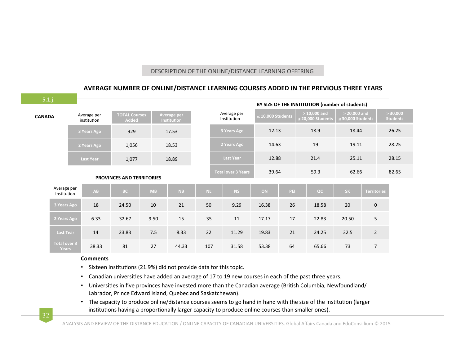#### Average per<br>Institution InsWtuWon **AB BC MB NB NL NS ON PEI QC SK Territories** 3 Years Ago | 18 | 24.50 | 10 | 21 | 50 | 9.29 | 16.38 | 26 | 18.58 | 20 | 0 2 Years Ago | 6.33 | 32.67 | 9.50 | 15 | 35 | 11 | 17.17 | 17 | 22.83 | 20.50 | 5 **Last Tear** 14 23.83 7.5 8.33 22 11.29 19.83 21 24.25 32.5 2 **Total over 3**<br>**Years Years** 38.33 81 27 44.33 107 31.58 53.38 64 65.66 73 7 **BY SIZE OF THE INSTITUTION (number of students)** Average per<br>Institution **Institute Solution** Students > 10,000 and ≤ **20,000 Students > 20,000 and**  ≤ **30,000 Students > 30,000 Students 3** Years Ago 12.13 18.9 18.44 26.25 **2** Years Ago **14.63** 19 19.11 28.25 **Last Year** 12.88 21.4 25.11 28.15 **Total over 3 Years** 39.64 59.3 62.66 82.65 Average per institution **TOTAL Courses Added Average per Institution 3** Years Ago **929** 17.53 **2** Years Ago 1,056 18.53 Last Year 1,077 18.89 **PROVINCES AND TERRITORIES** 5.1.j. **CANADA**

## AVERAGE NUMBER OF ONLINE/DISTANCE LEARNING COURSES ADDED IN THE PREVIOUS THREE YEARS

#### **Comments**

- Sixteen institutions (21.9%) did not provide data for this topic.
- Canadian universities have added an average of 17 to 19 new courses in each of the past three years.
- Universities in five provinces have invested more than the Canadian average (British Columbia, Newfoundland/ Labrador, Prince Edward Island, Quebec and Saskatchewan).
- The capacity to produce online/distance courses seems to go hand in hand with the size of the institution (larger institutions having a proportionally larger capacity to produce online courses than smaller ones).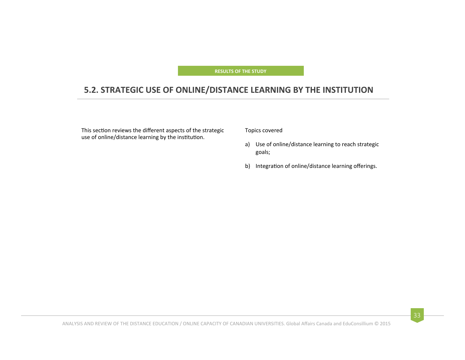**RESULTS OF THE STUDY** 

## **5.2. STRATEGIC USE OF ONLINE/DISTANCE LEARNING BY THE INSTITUTION**

This section reviews the different aspects of the strategic use of online/distance learning by the institution.

Topics covered 

- a) Use of online/distance learning to reach strategic goals;
- b) Integration of online/distance learning offerings.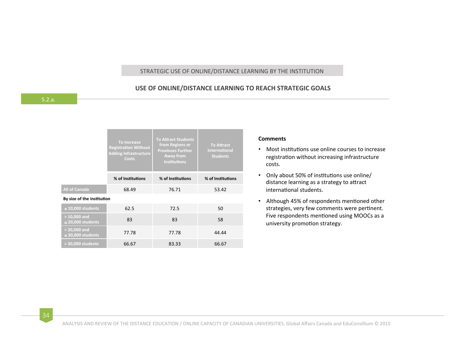## STRATEGIC USE OF ONLINE/DISTANCE LEARNING BY THE INSTITUTION

## **USE OF ONLINE/DISTANCE LEARNING TO REACH STRATEGIC GOALS**

|                                          | <b>To Increase</b><br><b>Registration Without</b><br><b>Adding Infrastructure</b><br><b>Costs</b> | <b>To Attract Students</b><br>from Regions or<br><b>Provinces Further</b><br><b>Away from</b><br><b>Institutions</b> | <b>To Attract</b><br>International<br><b>Students</b> |  |
|------------------------------------------|---------------------------------------------------------------------------------------------------|----------------------------------------------------------------------------------------------------------------------|-------------------------------------------------------|--|
|                                          | % of Institutions                                                                                 | % of Institutions                                                                                                    | % of Institutions                                     |  |
| <b>All of Canada</b>                     | 68.49                                                                                             | 76.71                                                                                                                | 53.42                                                 |  |
| By size of the institution               |                                                                                                   |                                                                                                                      |                                                       |  |
| $\leq$ 10,000 students                   | 62.5                                                                                              | 72.5                                                                                                                 | 50                                                    |  |
| $> 10,000$ and<br>$\leq$ 20,000 students | 83                                                                                                | 83                                                                                                                   | 58                                                    |  |
| $> 20,000$ and<br>$\leq$ 30,000 students | 77.78                                                                                             | 77.78                                                                                                                | 44.44                                                 |  |
| > 30,000 students                        | 66.67                                                                                             | 83.33                                                                                                                | 66.67                                                 |  |

#### **Comments**

- Most institutions use online courses to increase registration without increasing infrastructure costs.
- Only about 50% of institutions use online/ distance learning as a strategy to attract international students.
- Although 45% of respondents mentioned other strategies, very few comments were pertinent. Five respondents mentioned using MOOCs as a university promotion strategy.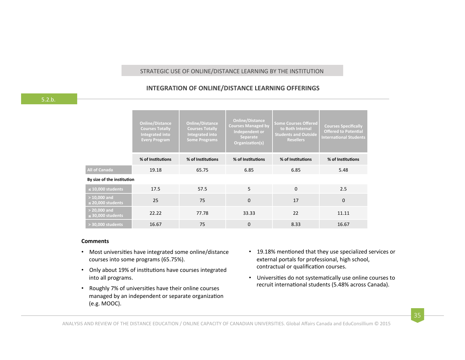## STRATEGIC USE OF ONLINE/DISTANCE LEARNING BY THE INSTITUTION

## **INTEGRATION OF ONLINE/DISTANCE LEARNING OFFERINGS**

|                                          | <b>Online/Distance</b><br><b>Courses Totally</b><br><b>Integrated into</b><br><b>Every Program</b> |                   | <b>Online/Distance</b><br><b>Courses Managed by</b><br>Independent or<br>Separate<br>Organization(s) | <b>Some Courses Offered</b><br>to Both Internal<br><b>Students and Outside</b><br><b>Resellers</b> | <b>Courses Specifically</b><br><b>Offered to Potential</b><br><b>International Students</b> |  |
|------------------------------------------|----------------------------------------------------------------------------------------------------|-------------------|------------------------------------------------------------------------------------------------------|----------------------------------------------------------------------------------------------------|---------------------------------------------------------------------------------------------|--|
|                                          | % of Institutions                                                                                  | % of Institutions | % of Institutions                                                                                    | % of Institutions                                                                                  | % of Institutions                                                                           |  |
| <b>All of Canada</b>                     | 19.18                                                                                              | 65.75             | 6.85                                                                                                 | 6.85                                                                                               | 5.48                                                                                        |  |
| By size of the institution               |                                                                                                    |                   |                                                                                                      |                                                                                                    |                                                                                             |  |
| $\leq$ 10,000 students                   | 17.5                                                                                               | 57.5              | 5                                                                                                    | $\Omega$                                                                                           | 2.5                                                                                         |  |
| $>10,000$ and<br>$\leq$ 20,000 students  | 25                                                                                                 | 75                | $\overline{0}$                                                                                       | 17                                                                                                 | $\mathbf{0}$                                                                                |  |
| $> 20,000$ and<br>$\leq$ 30,000 students | 22.22                                                                                              | 77.78             | 33.33                                                                                                | 22                                                                                                 | 11.11                                                                                       |  |
| $>$ 30,000 students                      | 16.67                                                                                              | 75                | 0                                                                                                    | 8.33                                                                                               | 16.67                                                                                       |  |

#### **Comments**

- Most universities have integrated some online/distance courses into some programs (65.75%).
- Only about 19% of institutions have courses integrated into all programs.
- Roughly 7% of universities have their online courses managed by an independent or separate organization (e.g. MOOC).
- 19.18% mentioned that they use specialized services or external portals for professional, high school, contractual or qualification courses.
- Universities do not systematically use online courses to recruit international students (5.48% across Canada).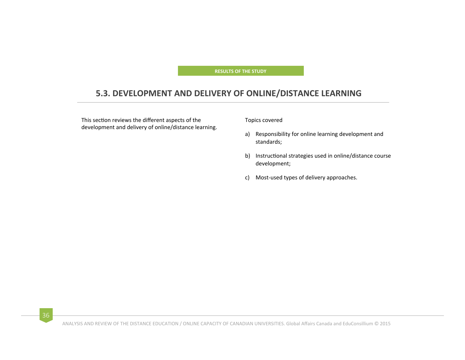## **RESULTS OF THE STUDY**

## **5.3. DEVELOPMENT AND DELIVERY OF ONLINE/DISTANCE LEARNING**

This section reviews the different aspects of the development and delivery of online/distance learning.

#### Topics covered

- a) Responsibility for online learning development and standards;
- b) Instructional strategies used in online/distance course development;
- c) Most-used types of delivery approaches.

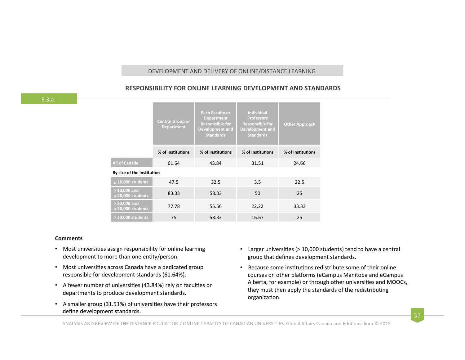#### DEVELOPMENT AND DELIVERY OF ONLINE/DISTANCE LEARNING

## **RESPONSIBILITY FOR ONLINE LEARNING DEVELOPMENT AND STANDARDS**

|                                          | <b>Central Group or</b><br><b>Department</b> | <b>Each Faculty or</b><br><b>Department</b><br><b>Responsible for</b><br><b>Development and</b><br><b>Standards</b> | <b>Individual</b><br><b>Professors</b><br><b>Responsible for</b><br><b>Development and</b><br><b>Standards</b> | <b>Other Approach</b> |  |  |  |
|------------------------------------------|----------------------------------------------|---------------------------------------------------------------------------------------------------------------------|----------------------------------------------------------------------------------------------------------------|-----------------------|--|--|--|
|                                          | % of Institutions                            | % of Institutions                                                                                                   | % of Institutions                                                                                              | % of Institutions     |  |  |  |
| <b>All of Canada</b>                     | 61.64                                        | 43.84                                                                                                               | 31.51                                                                                                          | 24.66                 |  |  |  |
| By size of the institution               |                                              |                                                                                                                     |                                                                                                                |                       |  |  |  |
| $\leq$ 10,000 students                   | 47.5                                         | 32.5                                                                                                                | 3.5                                                                                                            | 22.5                  |  |  |  |
| $> 10,000$ and<br>$\leq$ 20,000 students | 83.33                                        | 58.33                                                                                                               | 50                                                                                                             | 25                    |  |  |  |
| $> 20,000$ and<br>$\leq$ 30,000 students | 77.78                                        | 55.56                                                                                                               | 22.22                                                                                                          | 33.33                 |  |  |  |
| > 30,000 students                        | 75                                           | 58.33                                                                                                               | 16.67                                                                                                          | 25                    |  |  |  |

#### **Comments**

- Most universities assign responsibility for online learning development to more than one entity/person.
- Most universities across Canada have a dedicated group responsible for development standards (61.64%).
- A fewer number of universities (43.84%) rely on faculties or departments to produce development standards.
- A smaller group (31.51%) of universities have their professors define development standards.
- Larger universities  $(>10,000$  students) tend to have a central group that defines development standards.
- Because some institutions redistribute some of their online courses on other platforms (eCampus Manitoba and eCampus Alberta, for example) or through other universities and MOOCs, they must then apply the standards of the redistributing organization.

37

ANALYSIS AND REVIEW OF THE DISTANCE EDUCATION / ONLINE CAPACITY OF CANADIAN UNIVERSITIES. Global Affairs Canada and EduConsillium © 2015

5.3.a.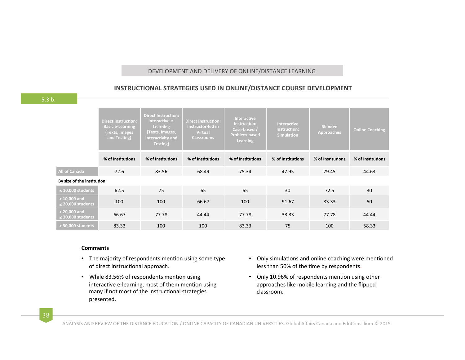## DEVELOPMENT AND DELIVERY OF ONLINE/DISTANCE LEARNING

## **INSTRUCTIONAL STRATEGIES USED IN ONLINE/DISTANCE COURSE DEVELOPMENT**

#### 5.3.b.

|                                          | <b>Direct Instruction:</b><br><b>Basic e-Learning</b><br>Texts, Images<br>and Testing) |                   | <b>Direct Instruction:</b><br>Instructor-led in<br><b>Virtual</b><br><b>Classrooms</b> | <b>Interactive</b><br>Instruction:<br>Case-based /<br><b>Problem-based</b><br>Learning | <b>Interactive</b><br>Instruction:<br><b>Simulation</b> | <b>Blended</b><br><b>Approaches</b> | <b>Online Coaching</b> |  |
|------------------------------------------|----------------------------------------------------------------------------------------|-------------------|----------------------------------------------------------------------------------------|----------------------------------------------------------------------------------------|---------------------------------------------------------|-------------------------------------|------------------------|--|
|                                          | % of Institutions                                                                      | % of Institutions | % of Institutions                                                                      | % of Institutions                                                                      | % of Institutions                                       | % of Institutions                   | % of Institutions      |  |
| All of Canada                            | 72.6                                                                                   | 83.56             | 68.49                                                                                  | 75.34                                                                                  | 47.95                                                   | 79.45                               | 44.63                  |  |
| By size of the institution               |                                                                                        |                   |                                                                                        |                                                                                        |                                                         |                                     |                        |  |
| $\leq$ 10,000 students                   | 62.5                                                                                   | 75                | 65                                                                                     | 65                                                                                     | 30                                                      | 72.5                                | 30                     |  |
| $> 10,000$ and<br>$\leq$ 20,000 students | 100                                                                                    | 100               | 66.67                                                                                  | 100                                                                                    | 91.67                                                   | 83.33                               | 50                     |  |
| $> 20,000$ and<br>$\leq$ 30,000 students | 66.67                                                                                  | 77.78             | 44.44                                                                                  | 77.78                                                                                  | 33.33                                                   | 77.78                               | 44.44                  |  |
| > 30,000 students                        | 83.33                                                                                  | 100               | 100                                                                                    | 83.33                                                                                  | 75                                                      | 100                                 | 58.33                  |  |

#### **Comments**

- The majority of respondents mention using some type of direct instructional approach.
- While 83.56% of respondents mention using interactive e-learning, most of them mention using many if not most of the instructional strategies presented.
- Only simulations and online coaching were mentioned less than 50% of the time by respondents.
- Only 10.96% of respondents mention using other approaches like mobile learning and the flipped classroom.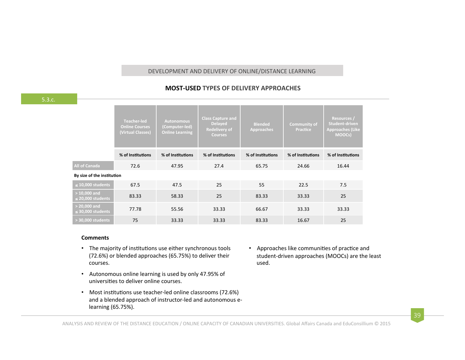## DEVELOPMENT AND DELIVERY OF ONLINE/DISTANCE LEARNING

## **MOST-USED TYPES OF DELIVERY APPROACHES**

|                                          | <b>Teacher-led</b><br><b>Online Courses</b><br>(Virtual Classes) | <b>Autonomous</b><br>(Computer-led)<br><b>Online Learning</b> | <b>Class Capture and</b><br><b>Delayed</b><br><b>Redelivery of</b><br><b>Courses</b> | <b>Blended</b><br>Approaches | <b>Community of</b><br><b>Practice</b> | Resources /<br><b>Student-driven</b><br><b>Approaches (Like</b><br>MOOCs) |  |
|------------------------------------------|------------------------------------------------------------------|---------------------------------------------------------------|--------------------------------------------------------------------------------------|------------------------------|----------------------------------------|---------------------------------------------------------------------------|--|
|                                          | % of Institutions                                                | % of Institutions                                             | % of Institutions                                                                    | % of Institutions            | % of Institutions                      | % of Institutions                                                         |  |
| <b>All of Canada</b>                     | 72.6                                                             | 47.95                                                         | 27.4                                                                                 | 65.75                        | 24.66                                  | 16.44                                                                     |  |
| By size of the institution               |                                                                  |                                                               |                                                                                      |                              |                                        |                                                                           |  |
| $\leq$ 10,000 students                   | 67.5                                                             | 47.5                                                          | 25                                                                                   | 55                           | 22.5                                   | 7.5                                                                       |  |
| $>10,000$ and<br>$\leq$ 20,000 students  | 83.33                                                            | 58.33                                                         | 25                                                                                   | 83.33                        | 33.33                                  | 25                                                                        |  |
| $> 20,000$ and<br>$\leq$ 30,000 students | 77.78                                                            | 55.56                                                         | 33.33                                                                                | 66.67                        | 33.33                                  | 33.33                                                                     |  |
| > 30,000 students                        | 75                                                               | 33.33                                                         | 33.33                                                                                | 83.33                        | 16.67                                  | 25                                                                        |  |

#### **Comments**

- The majority of institutions use either synchronous tools (72.6%) or blended approaches (65.75%) to deliver their courses.
- Autonomous online learning is used by only 47.95% of universities to deliver online courses.
- Most institutions use teacher-led online classrooms (72.6%) and a blended approach of instructor-led and autonomous elearning (65.75%).
- Approaches like communities of practice and student-driven approaches (MOOCs) are the least used.

5.3.c.

ANALYSIS AND REVIEW OF THE DISTANCE EDUCATION / ONLINE CAPACITY OF CANADIAN UNIVERSITIES. Global Affairs Canada and EduConsillium © 2015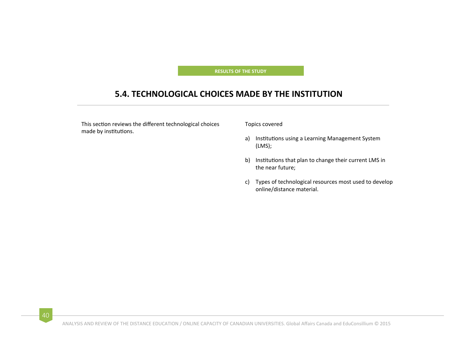**RESULTS OF THE STUDY** 

## **5.4. TECHNOLOGICAL CHOICES MADE BY THE INSTITUTION**

This section reviews the different technological choices made by institutions.

Topics covered 

- a) Institutions using a Learning Management System (LMS);
- b) Institutions that plan to change their current LMS in the near future;
- c) Types of technological resources most used to develop online/distance material.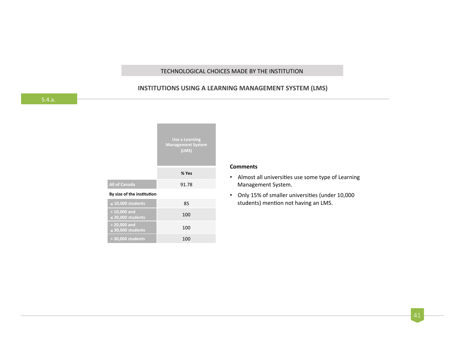## TECHNOLOGICAL CHOICES MADE BY THE INSTITUTION

## **INSTITUTIONS USING A LEARNING MANAGEMENT SYSTEM (LMS)**

|                                          | <b>Use a Learning</b><br><b>Management System</b><br>(LMS) |
|------------------------------------------|------------------------------------------------------------|
|                                          | % Yes                                                      |
| <b>All of Canada</b>                     | 91.78                                                      |
| By size of the institution               |                                                            |
| $\leq$ 10,000 students                   | 85                                                         |
| $> 10,000$ and<br>$\leq$ 20,000 students | 100                                                        |
| $> 20,000$ and<br>$\leq$ 30,000 students | 100                                                        |
| > 30,000 students                        | 100                                                        |

#### **Comments**

- Almost all universities use some type of Learning Management System.
- Only 15% of smaller universities (under 10,000 students) mention not having an LMS.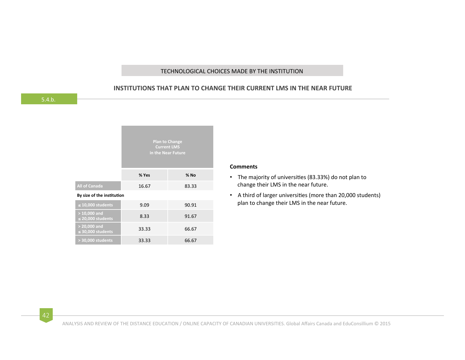## TECHNOLOGICAL CHOICES MADE BY THE INSTITUTION

## **INSTITUTIONS THAT PLAN TO CHANGE THEIR CURRENT LMS IN THE NEAR FUTURE**

|                                          | <b>Plan to Change</b><br><b>Current LMS</b><br>in the Near Future |       |  |  |  |
|------------------------------------------|-------------------------------------------------------------------|-------|--|--|--|
|                                          | % Yes                                                             | % No  |  |  |  |
| <b>All of Canada</b>                     | 16.67                                                             | 83.33 |  |  |  |
| By size of the institution               |                                                                   |       |  |  |  |
| $\leq$ 10,000 students                   | 9.09                                                              | 90.91 |  |  |  |
| $> 10,000$ and<br>$\leq$ 20,000 students | 8.33                                                              | 91.67 |  |  |  |
| $> 20,000$ and<br>$\leq$ 30,000 students | 33.33                                                             | 66.67 |  |  |  |
| > 30,000 students                        | 33.33                                                             | 66.67 |  |  |  |

#### **Comments**

- The majority of universities (83.33%) do not plan to change their LMS in the near future.
- A third of larger universities (more than 20,000 students) plan to change their LMS in the near future.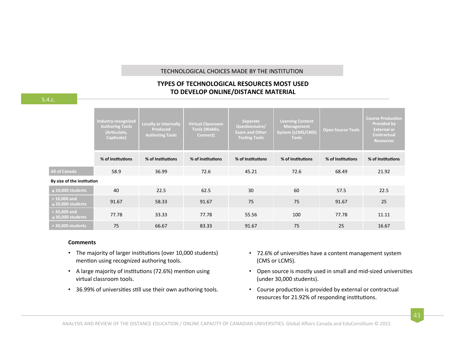## TECHNOLOGICAL CHOICES MADE BY THE INSTITUTION

## **TYPES OF TECHNOLOGICAL RESOURCES MOST USED TO DEVELOP ONLINE/DISTANCE MATERIAL**

5.4.c.

|                                          | Industry-recognized<br><b>Authoring Tools</b><br>(Articulate,<br>Captivate) | <b>Locally or Internally</b><br>Produced<br><b>Authoring Tools</b> | <b>Virtual Classroom</b><br>Tools (WebEx,<br>Connect) | Separate<br>Questionnaire/<br><b>Exam and Other</b><br><b>Testing Tools</b> | <b>Learning Content</b><br>Management<br><b>System (LCMS/CMS)</b><br>Tools | <b>Open Source Tools</b> | <b>Course Production</b><br><b>Provided by</b><br><b>External or</b><br><b>Contractual</b><br><b>Resources</b> |
|------------------------------------------|-----------------------------------------------------------------------------|--------------------------------------------------------------------|-------------------------------------------------------|-----------------------------------------------------------------------------|----------------------------------------------------------------------------|--------------------------|----------------------------------------------------------------------------------------------------------------|
|                                          | % of Institutions                                                           | % of Institutions                                                  | % of Institutions                                     | % of Institutions                                                           | % of Institutions                                                          | % of Institutions        | % of Institutions                                                                                              |
| <b>All of Canada</b>                     | 58.9                                                                        | 36.99                                                              | 72.6                                                  | 45.21                                                                       | 72.6                                                                       | 68.49                    | 21.92                                                                                                          |
| By size of the institution               |                                                                             |                                                                    |                                                       |                                                                             |                                                                            |                          |                                                                                                                |
| $\leq$ 10,000 students                   | 40                                                                          | 22.5                                                               | 62.5                                                  | 30                                                                          | 60                                                                         | 57.5                     | 22.5                                                                                                           |
| $>10,000$ and<br>$\leq$ 20,000 students  | 91.67                                                                       | 58.33                                                              | 91.67                                                 | 75                                                                          | 75                                                                         | 91.67                    | 25                                                                                                             |
| $> 20,000$ and<br>$\leq$ 30,000 students | 77.78                                                                       | 33.33                                                              | 77.78                                                 | 55.56                                                                       | 100                                                                        | 77.78                    | 11.11                                                                                                          |
| > 30,000 students                        | 75                                                                          | 66.67                                                              | 83.33                                                 | 91.67                                                                       | 75                                                                         | 25                       | 16.67                                                                                                          |

#### **Comments**

- The majority of larger institutions (over 10,000 students) mention using recognized authoring tools.
- A large majority of institutions (72.6%) mention using virtual classroom tools.
- 36.99% of universities still use their own authoring tools.
- 72.6% of universities have a content management system (CMS or LCMS).
- Open source is mostly used in small and mid-sized universities (under 30,000 students).
- Course production is provided by external or contractual resources for 21.92% of responding institutions.

ANALYSIS AND REVIEW OF THE DISTANCE EDUCATION / ONLINE CAPACITY OF CANADIAN UNIVERSITIES. Global Affairs Canada and EduConsillium © 2015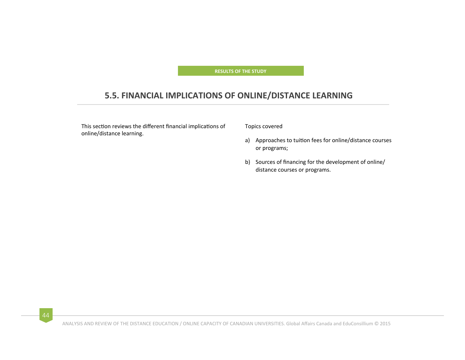**RESULTS OF THE STUDY** 

## **5.5. FINANCIAL IMPLICATIONS OF ONLINE/DISTANCE LEARNING**

This section reviews the different financial implications of online/distance learning.

Topics covered 

- a) Approaches to tuition fees for online/distance courses or programs;
- b) Sources of financing for the development of online/ distance courses or programs.

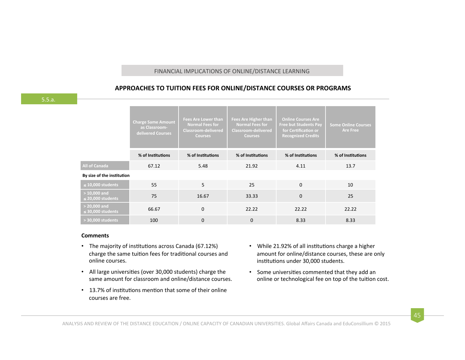#### FINANCIAL IMPLICATIONS OF ONLINE/DISTANCE LEARNING

## APPROACHES TO TUITION FEES FOR ONLINE/DISTANCE COURSES OR PROGRAMS

5.5.a.

|                                          | <b>Charge Same Amount</b><br>as Classroom-<br>delivered Courses | <b>Fees Are Lower than</b><br><b>Normal Fees for</b><br><b>Classroom-delivered</b><br><b>Courses</b> | <b>Fees Are Higher than</b><br><b>Normal Fees for</b><br><b>Classroom-delivered</b><br><b>Courses</b> | <b>Online Courses Are</b><br><b>Free but Students Pay</b><br>for Certification or<br><b>Recognized Credits</b> | <b>Some Online Courses</b><br><b>Are Free</b> |  |
|------------------------------------------|-----------------------------------------------------------------|------------------------------------------------------------------------------------------------------|-------------------------------------------------------------------------------------------------------|----------------------------------------------------------------------------------------------------------------|-----------------------------------------------|--|
|                                          | % of Institutions                                               | % of Institutions                                                                                    | % of Institutions                                                                                     | % of Institutions                                                                                              | % of Institutions                             |  |
| <b>All of Canada</b>                     | 67.12                                                           | 5.48                                                                                                 | 21.92                                                                                                 | 4.11                                                                                                           | 13.7                                          |  |
| By size of the institution               |                                                                 |                                                                                                      |                                                                                                       |                                                                                                                |                                               |  |
| $\leq$ 10,000 students                   | 55                                                              | 5                                                                                                    | 25                                                                                                    | $\Omega$                                                                                                       | 10                                            |  |
| $> 10,000$ and<br>$\leq$ 20,000 students | 75                                                              | 16.67                                                                                                | 33.33                                                                                                 | $\mathbf{0}$                                                                                                   | 25                                            |  |
| $> 20,000$ and<br>$\leq$ 30,000 students | 66.67                                                           | 0                                                                                                    | 22.22                                                                                                 | 22.22                                                                                                          | 22.22                                         |  |
| > 30,000 students                        | 100                                                             | 0                                                                                                    | $\mathbf{0}$                                                                                          | 8.33                                                                                                           | 8.33                                          |  |

#### **Comments**

- The majority of institutions across Canada (67.12%) charge the same tuition fees for traditional courses and online courses.
- All large universities (over 30,000 students) charge the same amount for classroom and online/distance courses.
- 13.7% of institutions mention that some of their online courses are free.
- While 21.92% of all institutions charge a higher amount for online/distance courses, these are only institutions under 30,000 students.
- Some universities commented that they add an online or technological fee on top of the tuition cost.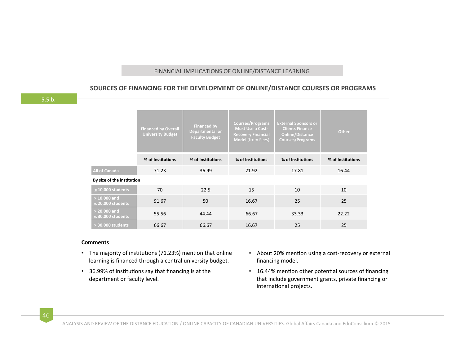#### FINANCIAL IMPLICATIONS OF ONLINE/DISTANCE LEARNING

## SOURCES OF FINANCING FOR THE DEVELOPMENT OF ONLINE/DISTANCE COURSES OR PROGRAMS

5.5.b.

|                                          | <b>Financed by Overall</b><br><b>University Budget</b> | <b>Financed by</b><br>Departmental or<br><b>Faculty Budget</b> | <b>Courses/Programs</b><br><b>Must Use a Cost-</b><br><b>Recovery Financial</b><br><b>Model (from Fees)</b> | <b>External Sponsors or</b><br><b>Clients Finance</b><br><b>Online/Distance</b><br><b>Courses/Programs</b> | Other             |
|------------------------------------------|--------------------------------------------------------|----------------------------------------------------------------|-------------------------------------------------------------------------------------------------------------|------------------------------------------------------------------------------------------------------------|-------------------|
|                                          | % of Institutions                                      | % of Institutions                                              | % of Institutions                                                                                           | % of Institutions                                                                                          | % of Institutions |
| <b>All of Canada</b>                     | 71.23                                                  | 36.99                                                          | 21.92                                                                                                       | 17.81                                                                                                      | 16.44             |
| By size of the institution               |                                                        |                                                                |                                                                                                             |                                                                                                            |                   |
| $\leq$ 10,000 students                   | 70                                                     | 22.5                                                           | 15                                                                                                          | 10                                                                                                         | 10                |
| $>10,000$ and<br>$\leq$ 20,000 students  | 91.67                                                  | 50                                                             | 16.67                                                                                                       | 25                                                                                                         | 25                |
| $> 20,000$ and<br>$\leq$ 30,000 students | 55.56                                                  | 44.44                                                          | 66.67                                                                                                       | 33.33                                                                                                      | 22.22             |
| > 30,000 students                        | 66.67                                                  | 66.67                                                          | 16.67                                                                                                       | 25                                                                                                         | 25                |

#### **Comments**

- The majority of institutions (71.23%) mention that online learning is financed through a central university budget.
- 36.99% of institutions say that financing is at the department or faculty level.
- About 20% mention using a cost-recovery or external financing model.
- 16.44% mention other potential sources of financing that include government grants, private financing or international projects.

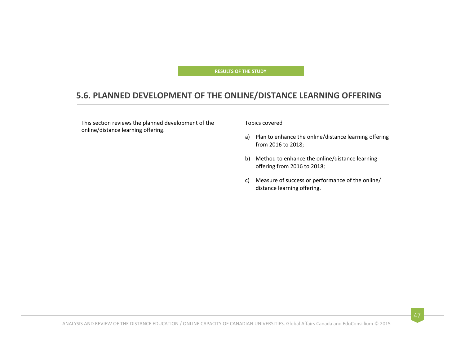#### **RESULTS OF THE STUDY**

## **5.6. PLANNED DEVELOPMENT OF THE ONLINE/DISTANCE LEARNING OFFERING**

This section reviews the planned development of the online/distance learning offering.

#### Topics covered

- a) Plan to enhance the online/distance learning offering from 2016 to 2018;
- b) Method to enhance the online/distance learning offering from 2016 to 2018;
- c) Measure of success or performance of the online/ distance learning offering.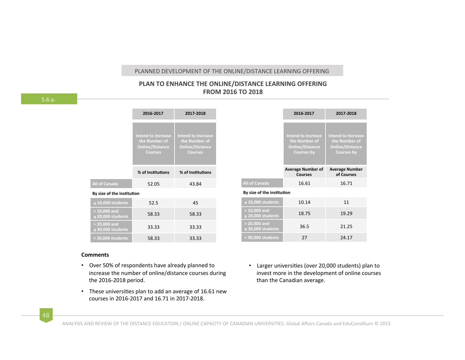## PLANNED DEVELOPMENT OF THE ONLINE/DISTANCE LEARNING OFFERING

## **PLAN TO ENHANCE THE ONLINE/DISTANCE LEARNING OFFERING FROM 2016 TO 2018**

**2016-2017 2017-2018 Intend to Increase Online/Distance Courses Online/Distance Courses % of InsPtuPons % of InsPtuPons All of Canada** 52.05 43.84 **By size of the institution** ≤ **10,000 students** 52.5 45 **> 10,000** and <sup>≤</sup> **20,000 students** 58.33 58.33 **> 20,000 and**  <sup>≤</sup> **30,000 students** 33.33 33.33 **b**  $\sim$  30,000 students **58.33** 33.33

|                                          | 2016-2017                                                                                 | 2017-2018                                                                          |
|------------------------------------------|-------------------------------------------------------------------------------------------|------------------------------------------------------------------------------------|
|                                          |                                                                                           |                                                                                    |
|                                          | <b>Intend to Increase</b><br>the Number of<br><b>Online/Distance</b><br><b>Courses by</b> | <b>Intend to Increase</b><br>the Number of<br><b>Online/Distance</b><br>Courses by |
|                                          | <b>Average Number of</b><br><b>Courses</b>                                                | <b>Average Number</b><br>of Courses                                                |
| <b>All of Canada</b>                     | 16.61                                                                                     | 16.71                                                                              |
| By size of the institution               |                                                                                           |                                                                                    |
| $\leq$ 10,000 students                   | 10.14                                                                                     | 11                                                                                 |
| $> 10,000$ and<br>$\leq$ 20,000 students | 18.75                                                                                     | 19.29                                                                              |
| $> 20,000$ and<br>$\leq$ 30,000 students | 36.5                                                                                      | 21.25                                                                              |
| > 30,000 students                        | 27                                                                                        | 24.17                                                                              |

#### **Comments**

- Over 50% of respondents have already planned to increase the number of online/distance courses during the 2016-2018 period.
- These universities plan to add an average of 16.61 new courses in 2016-2017 and 16.71 in 2017-2018.
- Larger universities (over 20,000 students) plan to invest more in the development of online courses than the Canadian average.



ANALYSIS AND REVIEW OF THE DISTANCE EDUCATION / ONLINE CAPACITY OF CANADIAN UNIVERSITIES. Global Affairs Canada and EduConsillium © 2015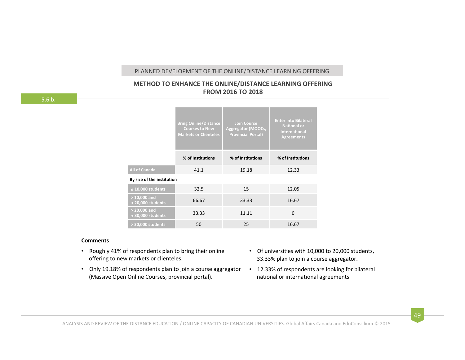## PLANNED DEVELOPMENT OF THE ONLINE/DISTANCE LEARNING OFFERING

## **METHOD TO ENHANCE THE ONLINE/DISTANCE LEARNING OFFERING FROM 2016 TO 2018**

|                                          | <b>Bring Online/Distance</b><br><b>Courses to New</b><br><b>Markets or Clienteles</b> | <b>Join Course</b><br>Aggregator (MOOCs,<br><b>Provincial Portal)</b> | <b>Enter into Bilateral</b><br><b>National or</b><br>International<br>Agreements |  |  |
|------------------------------------------|---------------------------------------------------------------------------------------|-----------------------------------------------------------------------|----------------------------------------------------------------------------------|--|--|
|                                          | % of Institutions                                                                     | % of Institutions                                                     | % of Institutions                                                                |  |  |
| <b>All of Canada</b>                     | 41.1                                                                                  | 19.18                                                                 | 12.33                                                                            |  |  |
| By size of the institution               |                                                                                       |                                                                       |                                                                                  |  |  |
| $\leq$ 10,000 students                   | 32.5                                                                                  | 15                                                                    | 12.05                                                                            |  |  |
| $>10,000$ and<br>$\leq$ 20,000 students  | 66.67                                                                                 | 33.33                                                                 | 16.67                                                                            |  |  |
| $> 20,000$ and<br>$\leq$ 30,000 students | 33.33                                                                                 | 11.11                                                                 | $\Omega$                                                                         |  |  |
| > 30,000 students                        | 50                                                                                    | 25                                                                    | 16.67                                                                            |  |  |

#### **Comments**

- Roughly 41% of respondents plan to bring their online offering to new markets or clienteles.
- Only 19.18% of respondents plan to join a course aggregator (Massive Open Online Courses, provincial portal).
- Of universities with 10,000 to 20,000 students, 33.33% plan to join a course aggregator.
- 12.33% of respondents are looking for bilateral national or international agreements.

49

5.6.b.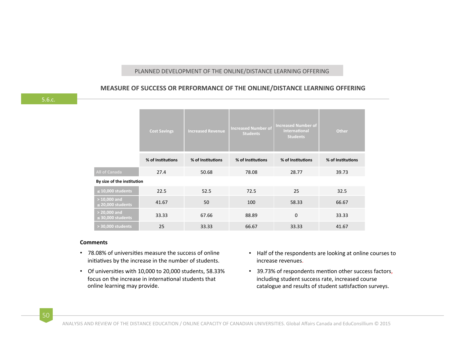#### PLANNED DEVELOPMENT OF THE ONLINE/DISTANCE LEARNING OFFERING

## **MEASURE OF SUCCESS OR PERFORMANCE OF THE ONLINE/DISTANCE LEARNING OFFERING**

5.6.c.

|                                          | <b>Cost Savings</b> | <b>Increased Revenue</b> | <b>Increased Number of</b><br><b>Students</b> | <b>Increased Number of</b><br>International<br><b>Students</b> | Other             |  |
|------------------------------------------|---------------------|--------------------------|-----------------------------------------------|----------------------------------------------------------------|-------------------|--|
|                                          | % of Institutions   | % of Institutions        | % of Institutions                             | % of Institutions                                              | % of Institutions |  |
| <b>All of Canada</b>                     | 27.4                | 50.68                    | 78.08                                         | 28.77                                                          | 39.73             |  |
| By size of the institution               |                     |                          |                                               |                                                                |                   |  |
| $\leq$ 10,000 students                   | 22.5                | 52.5                     | 72.5                                          | 25                                                             | 32.5              |  |
| $> 10,000$ and<br>$\leq$ 20,000 students | 41.67               | 50                       | 100                                           | 58.33                                                          | 66.67             |  |
| $> 20,000$ and<br>$\leq$ 30,000 students | 33.33               | 67.66                    | 88.89                                         | $\mathbf 0$                                                    | 33.33             |  |
| > 30,000 students                        | 25                  | 33.33                    | 66.67                                         | 33.33                                                          | 41.67             |  |

#### **Comments**

- 78.08% of universities measure the success of online initiatives by the increase in the number of students.
- Of universities with 10,000 to 20,000 students, 58.33% focus on the increase in international students that online learning may provide.
- Half of the respondents are looking at online courses to increase revenues.
- 39.73% of respondents mention other success factors, including student success rate, increased course catalogue and results of student satisfaction surveys.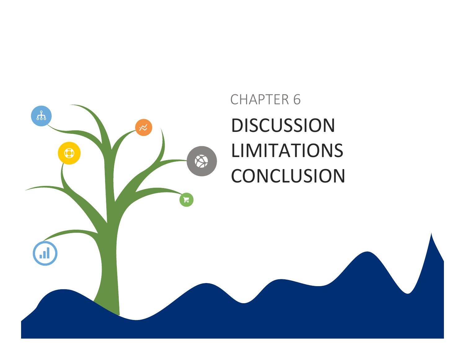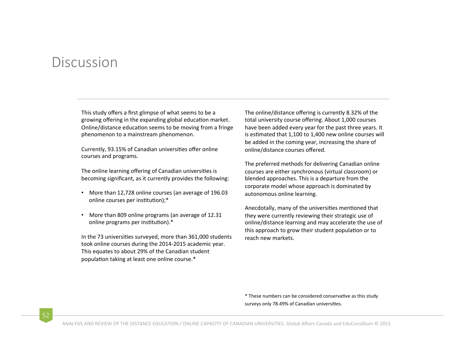## Discussion

This study offers a first glimpse of what seems to be a growing offering in the expanding global education market. Online/distance education seems to be moving from a fringe phenomenon to a mainstream phenomenon.

Currently, 93.15% of Canadian universities offer online courses and programs.

The online learning offering of Canadian universities is becoming significant, as it currently provides the following:

- More than 12,728 online courses (an average of 196.03 online courses per institution);\*
- More than 809 online programs (an average of 12.31 online programs per institution).\*

In the 73 universities surveyed, more than 361,000 students took online courses during the 2014-2015 academic year. This equates to about 29% of the Canadian student population taking at least one online course.\*

The online/distance offering is currently 8.32% of the total university course offering. About 1,000 courses have been added every year for the past three years. It is estimated that 1,100 to 1,400 new online courses will be added in the coming year, increasing the share of online/distance courses offered.

The preferred methods for delivering Canadian online courses are either synchronous (virtual classroom) or blended approaches. This is a departure from the corporate model whose approach is dominated by autonomous online learning.

Anecdotally, many of the universities mentioned that they were currently reviewing their strategic use of online/distance learning and may accelerate the use of this approach to grow their student population or to reach new markets.

\* These numbers can be considered conservative as this study surveys only 78.49% of Canadian universities.

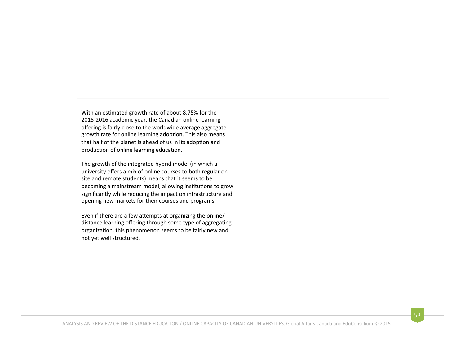With an estimated growth rate of about 8.75% for the 2015-2016 academic year, the Canadian online learning offering is fairly close to the worldwide average aggregate growth rate for online learning adoption. This also means that half of the planet is ahead of us in its adoption and production of online learning education.

The growth of the integrated hybrid model (in which a university offers a mix of online courses to both regular onsite and remote students) means that it seems to be becoming a mainstream model, allowing institutions to grow significantly while reducing the impact on infrastructure and opening new markets for their courses and programs.

Even if there are a few attempts at organizing the online/ distance learning offering through some type of aggregating organization, this phenomenon seems to be fairly new and not yet well structured.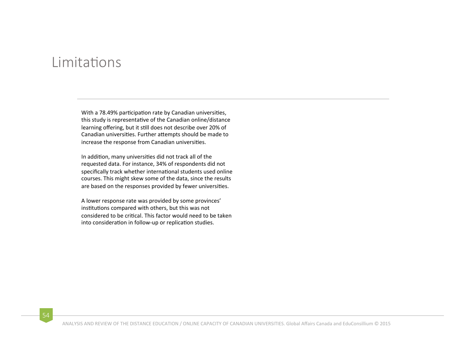## Limitations

With a 78.49% participation rate by Canadian universities, this study is representative of the Canadian online/distance learning offering, but it still does not describe over 20% of Canadian universities. Further attempts should be made to increase the response from Canadian universities.

In addition, many universities did not track all of the requested data. For instance, 34% of respondents did not specifically track whether international students used online courses. This might skew some of the data, since the results are based on the responses provided by fewer universities.

A lower response rate was provided by some provinces' institutions compared with others, but this was not considered to be critical. This factor would need to be taken into consideration in follow-up or replication studies.

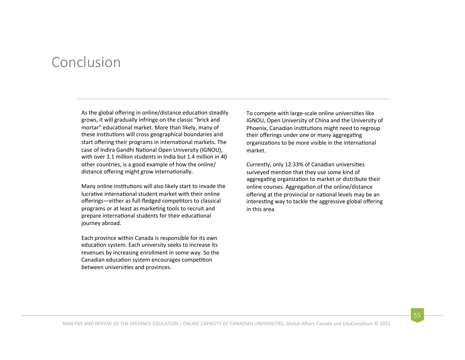## Conclusion

As the global offering in online/distance education steadily grows, it will gradually infringe on the classic "brick and mortar" educational market. More than likely, many of these institutions will cross geographical boundaries and start offering their programs in international markets. The case of Indira Gandhi National Open University (IGNOU), with over 3.1 million students in India but 1.4 million in 40 other countries, is a good example of how the online/ distance offering might grow internationally.

Many online institutions will also likely start to invade the lucrative international student market with their online offerings—either as full-fledged competitors to classical programs or at least as marketing tools to recruit and prepare international students for their educational journey abroad.

Each province within Canada is responsible for its own education system. Each university seeks to increase its revenues by increasing enrollment in some way. So the Canadian education system encourages competition between universities and provinces.

To compete with large-scale online universities like IGNOU, Open University of China and the University of Phoenix, Canadian institutions might need to regroup their offerings under one or many aggregating organizations to be more visible in the international market. 

Currently, only 12.33% of Canadian universities surveyed mention that they use some kind of aggregating organization to market or distribute their online courses. Aggregation of the online/distance offering at the provincial or national levels may be an interesting way to tackle the aggressive global offering in this area.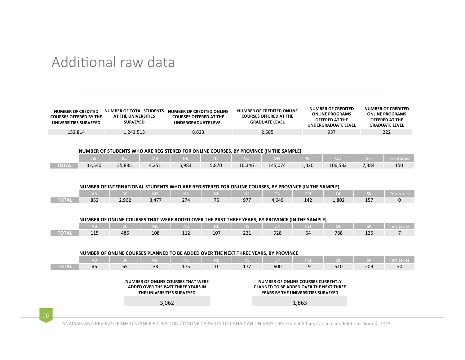# Additional raw data

| <b>NUMBER OF CREDITED</b><br><b>COURSES OFFERED BY THE</b><br>UNIVERSITIES SURVEYED | NUMBER OF TOTAL STUDENTS<br>AT THE UNIVERSITIES<br><b>SURVEYED</b> | NUMBER OF CREDITED ONLINE<br><b>COURSES OFFERED AT THE</b><br>UNDERGRADUATE LEVEL | NUMBER OF CREDITED ONLINE<br><b>COURSES OFFERED AT THE</b><br><b>GRADUATE LEVEL</b> | <b>NUMBER OF CREDITED</b><br><b>ONLINE PROGRAMS</b><br>OFFERED AT THE<br>UNDERGRADUATE LEVEL | <b>NUMBER OF CREDITED</b><br><b>ONLINE PROGRAMS</b><br>OFFERED AT THE<br><b>GRADUATE LEVEL</b> |
|-------------------------------------------------------------------------------------|--------------------------------------------------------------------|-----------------------------------------------------------------------------------|-------------------------------------------------------------------------------------|----------------------------------------------------------------------------------------------|------------------------------------------------------------------------------------------------|
| 152,814                                                                             | 1.243.513                                                          | 8.623                                                                             | 2.685                                                                               | 937                                                                                          | 222                                                                                            |

#### **NUMBER OF STUDENTS WHO ARE REGISTERED FOR ONLINE COURSES, BY PROVINCE (IN THE SAMPLE)**

|       |        |        | IVI B | <b>NB</b> |       |        | ON      |       |         |       |     |
|-------|--------|--------|-------|-----------|-------|--------|---------|-------|---------|-------|-----|
| TOTAL | 32,540 | 35,885 | 4,251 | 5,983     | 5,870 | 16,346 | 145,074 | 1,320 | 106,582 | 7,384 | 150 |

#### **NUMBER OF INTERNATIONAL STUDENTS WHO ARE REGISTERED FOR ONLINE COURSES, BY PROVINCE (IN THE SAMPLE)**

|              | . A BY |       | <b>MB</b> | NB ' | <b>TIL</b><br>AN LIFE | <b>NIC</b> |       |     |       |                       | rritories |
|--------------|--------|-------|-----------|------|-----------------------|------------|-------|-----|-------|-----------------------|-----------|
| <b>TOTAL</b> | 852    | 2,962 | 3,477     | 274  | 7 <sub>F</sub>        | 977        | 4,049 | 142 | 1,802 | 1 <sub>7</sub><br>137 |           |

| NUMBER OF ONLINE COURSES THAT WERE ADDED OVER THE PAST THREE YEARS. BY PROVINCE (IN THE SAMPLE) |  |
|-------------------------------------------------------------------------------------------------|--|
|-------------------------------------------------------------------------------------------------|--|

|       | AN P              | マムマ | <b>N</b> AF<br>NIVIE. | <b>NB</b> | <b>TITLE</b><br>. . | <b>COLLECTION</b> | <b>CONTRACTOR</b><br>wan. |    | --  |     | <b>ALL LINE IN SPACE</b> |
|-------|-------------------|-----|-----------------------|-----------|---------------------|-------------------|---------------------------|----|-----|-----|--------------------------|
| TOTAL | <b>44F</b><br>ᆂᆂᆑ | 486 | 108                   | 112       | $10-1$<br>101       | 221               | 928                       | 64 | 788 | 126 |                          |

#### **NUMBER OF ONLINE COURSES PLANNED TO BE ADDED OVER THE NEXT THREE YEARS, BY PROVINCE**

|              |    |                     | M <sub>a</sub> n<br>TVI D' |            | NL. | <b>TIP</b>   | ΟN  |                | $\overline{OC}$ |     | Territories |
|--------------|----|---------------------|----------------------------|------------|-----|--------------|-----|----------------|-----------------|-----|-------------|
| <b>TOTAL</b> | 45 | $\sim$<br><b>PP</b> | $\sim$<br>၁၁               | 47r<br>112 |     | 1 7 7<br>111 | 600 | 10<br>--<br>__ | 510             | 209 | 30          |

| NUMBER OF ONLINE COURSES THAT WERE | NUMBER OF ONLINE COURSES CURRENTLY      |
|------------------------------------|-----------------------------------------|
| ADDED OVER THE PAST THREE YEARS IN | PLANNED TO BE ADDED OVER THE NEXT THREE |
| THE UNIVERSITIES SURVEYED          | YEARS BY THE UNIVERSITIES SURVEYED      |
| 3,062                              | 1,863                                   |

56

ANALYSIS AND REVIEW OF THE DISTANCE EDUCATION / ONLINE CAPACITY OF CANADIAN UNIVERSITIES. Global Affairs Canada and EduConsillium © 2015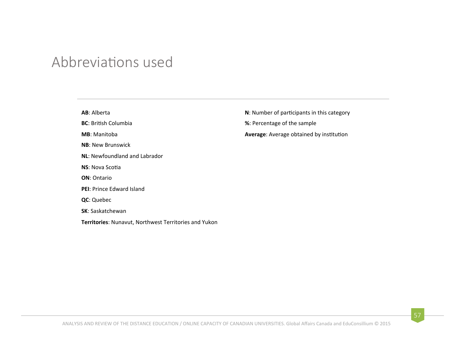# Abbreviations used

**AB**: Alberta 

**BC**: British Columbia

**MB**: Manitoba

**NB**: New Brunswick

**NL:** Newfoundland and Labrador

**NS**: Nova Scotia

**ON:** Ontario

**PEI:** Prince Edward Island

**QC**: Quebec 

**SK: Saskatchewan** 

**Territories**: Nunavut, Northwest Territories and Yukon

**N**: Number of participants in this category

**%**: Percentage of the sample

Average: Average obtained by institution